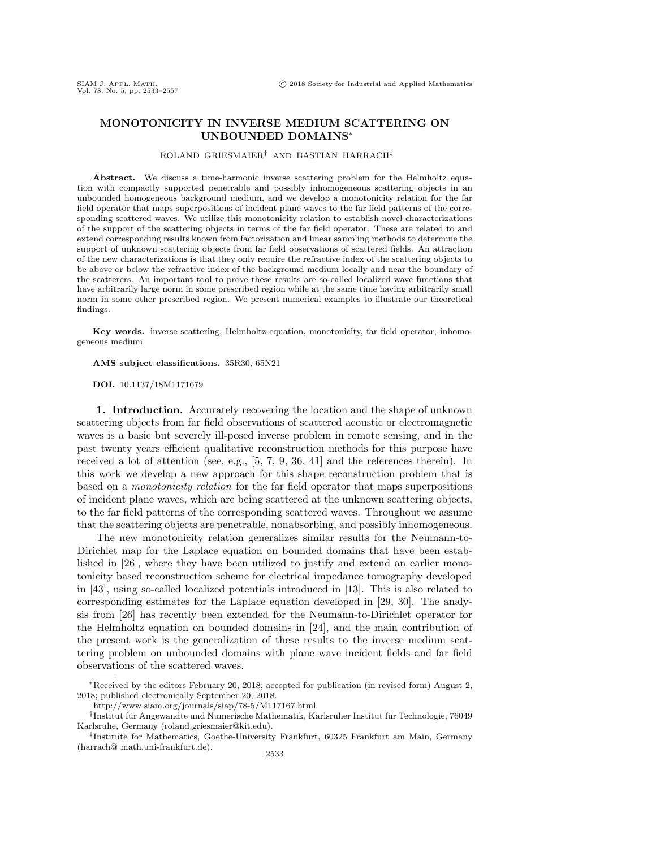# MONOTONICITY IN INVERSE MEDIUM SCATTERING ON UNBOUNDED DOMAINS\*

#### ROLAND GRIESMAIER<sup>†</sup> AND BASTIAN HARRACH<sup>‡</sup>

Abstract. We discuss a time-harmonic inverse scattering problem for the Helmholtz equation with compactly supported penetrable and possibly inhomogeneous scattering objects in an unbounded homogeneous background medium, and we develop a monotonicity relation for the far field operator that maps superpositions of incident plane waves to the far field patterns of the corresponding scattered waves. We utilize this monotonicity relation to establish novel characterizations of the support of the scattering objects in terms of the far field operator. These are related to and extend corresponding results known from factorization and linear sampling methods to determine the support of unknown scattering objects from far field observations of scattered fields. An attraction of the new characterizations is that they only require the refractive index of the scattering objects to be above or below the refractive index of the background medium locally and near the boundary of the scatterers. An important tool to prove these results are so-called localized wave functions that have arbitrarily large norm in some prescribed region while at the same time having arbitrarily small norm in some other prescribed region. We present numerical examples to illustrate our theoretical findings.

 $\bf{Key words.}$  inverse scattering, Helmholtz equation, monotonicity, far field operator, inhomogeneous medium

 $\bf AMS \ subject \ classifications. \ 35R30, 65N21$ 

### DOI. 10.1137/18M1171679

1. Introduction. Accurately recovering the location and the shape of unknown scattering objects from far field observations of scattered acoustic or electromagnetic waves is a basic but severely ill-posed inverse problem in remote sensing, and in the past twenty years efficient qualitative reconstruction methods for this purpose have received a lot of attention (see, e.g., [\[5,](#page-22-0) [7,](#page-22-1) [9,](#page-22-2) [36,](#page-23-0) [41\]](#page-24-0) and the references therein). In this work we develop a new approach for this shape reconstruction problem that is based on a monotonicity relation for the far field operator that maps superpositions of incident plane waves, which are being scattered at the unknown scattering objects, to the far field patterns of the corresponding scattered waves. Throughout we assume that the scattering objects are penetrable, nonabsorbing, and possibly inhomogeneous.

The new monotonicity relation generalizes similar results for the Neumann-to-Dirichlet map for the Laplace equation on bounded domains that have been established in [\[26\]](#page-23-1), where they have been utilized to justify and extend an earlier monotonicity based reconstruction scheme for electrical impedance tomography developed in [\[43\]](#page-24-1), using so-called localized potentials introduced in [\[13\]](#page-23-2). This is also related to corresponding estimates for the Laplace equation developed in [\[29,](#page-23-3) [30\]](#page-23-4). The analysis from [\[26\]](#page-23-1) has recently been extended for the Neumann-to-Dirichlet operator for the Helmholtz equation on bounded domains in [\[24\]](#page-23-5), and the main contribution of the present work is the generalization of these results to the inverse medium scattering problem on unbounded domains with plane wave incident fields and far field observations of the scattered waves.

<sup>\*</sup>Received by the editors February 20, 2018; accepted for publication (in revised form) August 2, 2018; published electronically September 20, 2018.

<http://www.siam.org/journals/siap/78-5/M117167.html>

<sup>&</sup>lt;sup>†</sup> Institut für Angewandte und Numerische Mathematik, Karlsruher Institut für Technologie, 76049 Karlsruhe, Germany [\(roland.griesmaier@kit.edu\)](mailto:roland.griesmaier@kit.edu).

<sup>&</sup>lt;sup>‡</sup>Institute for Mathematics, Goethe-University Frankfurt, 60325 Frankfurt am Main, Germany [\(harrach@ math.uni-frankfurt.de\)](mailto:harrach@math.uni-frankfurt.de). 2533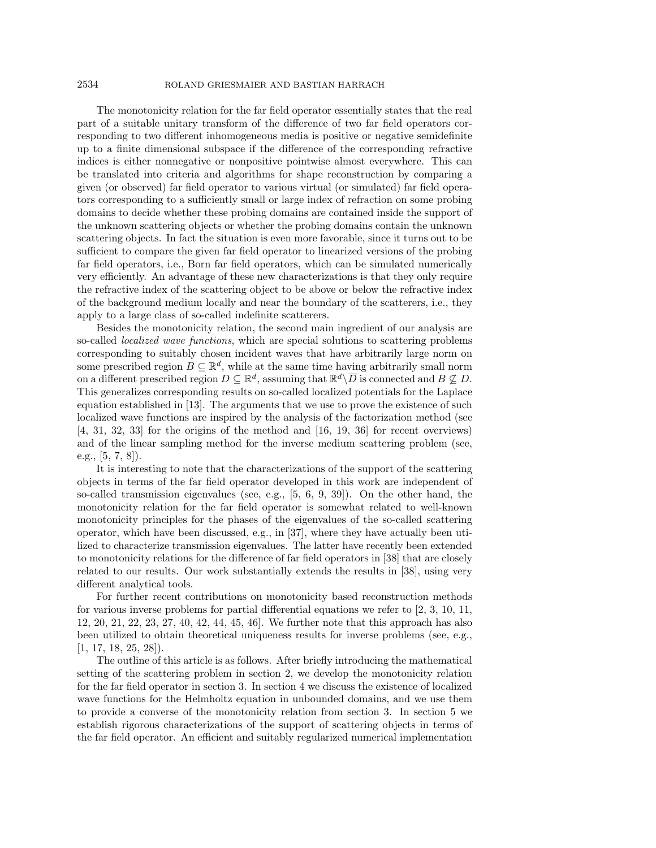## 2534 ROLAND GRIESMAIER AND BASTIAN HARRACH

The monotonicity relation for the far field operator essentially states that the real part of a suitable unitary transform of the difference of two far field operators corresponding to two different inhomogeneous media is positive or negative semidefinite up to a finite dimensional subspace if the difference of the corresponding refractive indices is either nonnegative or nonpositive pointwise almost everywhere. This can be translated into criteria and algorithms for shape reconstruction by comparing a given (or observed) far field operator to various virtual (or simulated) far field operators corresponding to a sufficiently small or large index of refraction on some probing domains to decide whether these probing domains are contained inside the support of the unknown scattering objects or whether the probing domains contain the unknown scattering objects. In fact the situation is even more favorable, since it turns out to be sufficient to compare the given far field operator to linearized versions of the probing far field operators, i.e., Born far field operators, which can be simulated numerically very efficiently. An advantage of these new characterizations is that they only require the refractive index of the scattering object to be above or below the refractive index of the background medium locally and near the boundary of the scatterers, i.e., they apply to a large class of so-called indefinite scatterers.

Besides the monotonicity relation, the second main ingredient of our analysis are so-called *localized wave functions*, which are special solutions to scattering problems corresponding to suitably chosen incident waves that have arbitrarily large norm on some prescribed region  $B \subseteq \mathbb{R}^d$ , while at the same time having arbitrarily small norm on a different prescribed region  $D \subseteq \mathbb{R}^d$ , assuming that  $\mathbb{R}^d \setminus \overline{D}$  is connected and  $B \nsubseteq D$ . This generalizes corresponding results on so-called localized potentials for the Laplace equation established in [\[13\]](#page-23-2). The arguments that we use to prove the existence of such localized wave functions are inspired by the analysis of the factorization method (see [\[4,](#page-22-3) [31,](#page-23-6) [32,](#page-23-7) [33\]](#page-23-8) for the origins of the method and [\[16,](#page-23-9) [19,](#page-23-10) [36\]](#page-23-0) for recent overviews) and of the linear sampling method for the inverse medium scattering problem (see, e.g., [\[5,](#page-22-0) [7,](#page-22-1) [8\]](#page-22-4)).

It is interesting to note that the characterizations of the support of the scattering objects in terms of the far field operator developed in this work are independent of so-called transmission eigenvalues (see, e.g., [\[5,](#page-22-0) [6,](#page-22-5) [9,](#page-22-2) [39\]](#page-24-2)). On the other hand, the monotonicity relation for the far field operator is somewhat related to well-known monotonicity principles for the phases of the eigenvalues of the so-called scattering operator, which have been discussed, e.g., in [\[37\]](#page-23-11), where they have actually been utilized to characterize transmission eigenvalues. The latter have recently been extended to monotonicity relations for the difference of far field operators in [\[38\]](#page-23-12) that are closely related to our results. Our work substantially extends the results in [\[38\]](#page-23-12), using very different analytical tools.

For further recent contributions on monotonicity based reconstruction methods for various inverse problems for partial differential equations we refer to [\[2,](#page-22-6) [3,](#page-22-7) [10,](#page-22-8) [11,](#page-23-13) [12,](#page-23-14) [20,](#page-23-15) [21,](#page-23-16) [22,](#page-23-17) [23,](#page-23-18) [27,](#page-23-19) [40,](#page-24-3) [42,](#page-24-4) [44,](#page-24-5) [45,](#page-24-6) [46\]](#page-24-7). We further note that this approach has also been utilized to obtain theoretical uniqueness results for inverse problems (see, e.g., [\[1,](#page-22-9) [17,](#page-23-20) [18,](#page-23-21) [25,](#page-23-22) [28\]](#page-23-23)).

The outline of this article is as follows. After briefly introducing the mathematical setting of the scattering problem in section [2,](#page-2-0) we develop the monotonicity relation for the far field operator in section [3.](#page-4-0) In section [4](#page-10-0) we discuss the existence of localized wave functions for the Helmholtz equation in unbounded domains, and we use them to provide a converse of the monotonicity relation from section [3.](#page-4-0) In section [5](#page-14-0) we establish rigorous characterizations of the support of scattering objects in terms of the far field operator. An efficient and suitably regularized numerical implementation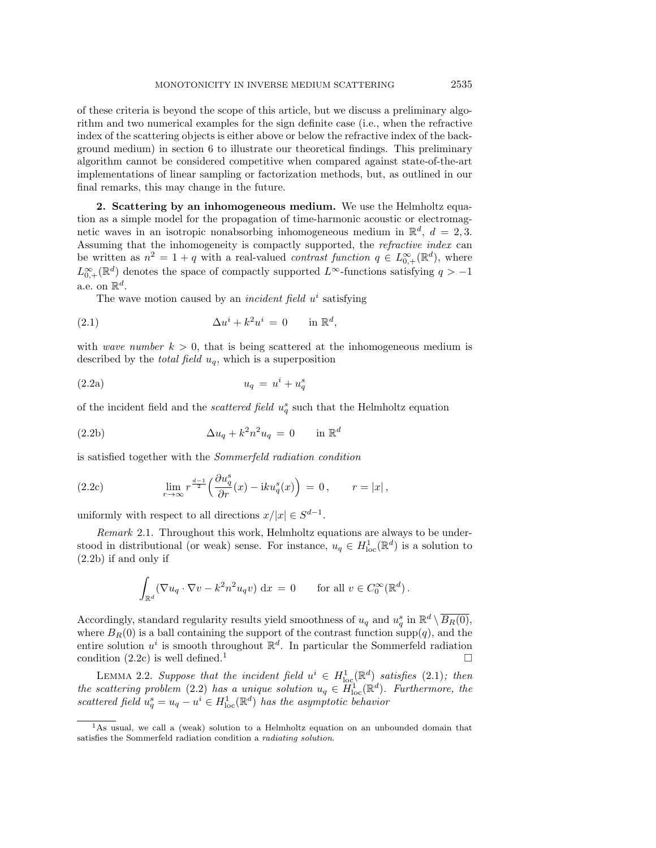of these criteria is beyond the scope of this article, but we discuss a preliminary algorithm and two numerical examples for the sign definite case (i.e., when the refractive index of the scattering objects is either above or below the refractive index of the background medium) in section [6](#page-18-0) to illustrate our theoretical findings. This preliminary algorithm cannot be considered competitive when compared against state-of-the-art implementations of linear sampling or factorization methods, but, as outlined in our final remarks, this may change in the future.

<span id="page-2-0"></span>2. Scattering by an inhomogeneous medium. We use the Helmholtz equation as a simple model for the propagation of time-harmonic acoustic or electromagnetic waves in an isotropic nonabsorbing inhomogeneous medium in  $\mathbb{R}^d$ ,  $d = 2, 3$ . Assuming that the inhomogeneity is compactly supported, the refractive index can be written as  $n^2 = 1 + q$  with a real-valued *contrast function*  $q \in L_{0,+}^{\infty}(\mathbb{R}^d)$ , where  $L_{0,+}^{\infty}(\mathbb{R}^d)$  denotes the space of compactly supported  $L^{\infty}$ -functions satisfying  $q > -1$ a.e. on  $\mathbb R^d$ .

<span id="page-2-5"></span><span id="page-2-4"></span>The wave motion caused by an *incident field*  $u^i$  satisfying

$$
(2.1) \qquad \Delta u^i + k^2 u^i = 0 \qquad \text{in } \mathbb{R}^d,
$$

with *wave number*  $k > 0$ , that is being scattered at the inhomogeneous medium is described by the *total field*  $u_q$ , which is a superposition

$$
(2.2a) \t\t u_q = u^i + u_q^s
$$

of the incident field and the *scattered field*  $u_q^s$  such that the Helmholtz equation

<span id="page-2-1"></span>(2.2b) 
$$
\Delta u_q + k^2 n^2 u_q = 0 \quad \text{in } \mathbb{R}^d
$$

is satisfied together with the Sommerfeld radiation condition

<span id="page-2-2"></span>(2.2c) 
$$
\lim_{r \to \infty} r^{\frac{d-1}{2}} \left( \frac{\partial u_q^s}{\partial r}(x) - i k u_q^s(x) \right) = 0, \qquad r = |x|,
$$

uniformly with respect to all directions  $x/|x| \in S^{d-1}$ .

Remark 2.1. Throughout this work, Helmholtz equations are always to be understood in distributional (or weak) sense. For instance,  $u_q \in H^1_{loc}(\mathbb{R}^d)$  is a solution to [\(2.2b\)](#page-2-1) if and only if

$$
\int_{\mathbb{R}^d} (\nabla u_q \cdot \nabla v - k^2 n^2 u_q v) \, \mathrm{d}x = 0 \qquad \text{for all } v \in C_0^{\infty}(\mathbb{R}^d).
$$

Accordingly, standard regularity results yield smoothness of  $u_q$  and  $u_q^s$  in  $\mathbb{R}^d \setminus \overline{B_R(0)}$ , where  $B_R(0)$  is a ball containing the support of the contrast function supp(q), and the entire solution  $u^i$  is smooth throughout  $\mathbb{R}^d$ . In particular the Sommerfeld radiation condition [\(2.2c\)](#page-2-2) is well defined.<sup>[1](#page-2-3)</sup>

LEMMA 2.2. Suppose that the incident field  $u^i \in H^1_{loc}(\mathbb{R}^d)$  satisfies [\(2.1\)](#page-2-4); then the scattering problem [\(2.2\)](#page-2-5) has a unique solution  $u_q \in \widetilde{H}^1_{loc}(\mathbb{R}^d)$ . Furthermore, the scattered field  $u_q^s = u_q - u^i \in H_{loc}^1(\mathbb{R}^d)$  has the asymptotic behavior

<span id="page-2-3"></span><sup>&</sup>lt;sup>1</sup>As usual, we call a (weak) solution to a Helmholtz equation on an unbounded domain that satisfies the Sommerfeld radiation condition a radiating solution.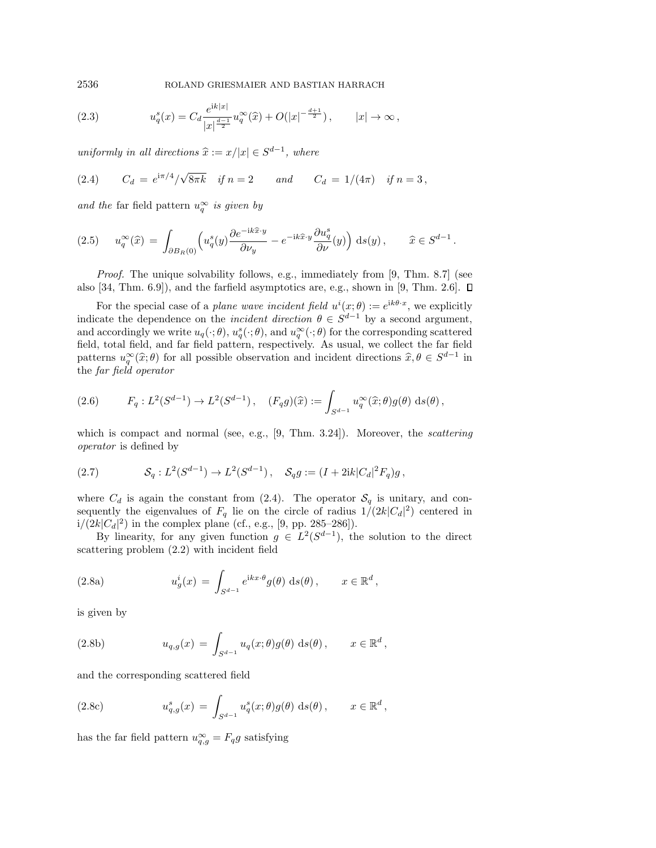2536 ROLAND GRIESMAIER AND BASTIAN HARRACH

<span id="page-3-4"></span>(2.3) 
$$
u_q^s(x) = C_d \frac{e^{ik|x|}}{|x|^{\frac{d-1}{2}}} u_q^{\infty}(\hat{x}) + O(|x|^{-\frac{d+1}{2}}), \qquad |x| \to \infty,
$$

uniformly in all directions  $\widehat x := x/|x| \in S^{d-1}$ , where

<span id="page-3-0"></span>(2.4) 
$$
C_d = e^{i\pi/4} / \sqrt{8\pi k}
$$
 if  $n = 2$  and  $C_d = 1/(4\pi)$  if  $n = 3$ ,

and the far field pattern  $u_q^{\infty}$  is given by

<span id="page-3-6"></span>
$$
(2.5) \t u_q^{\infty}(\hat{x}) = \int_{\partial B_R(0)} \left( u_q^s(y) \frac{\partial e^{-ik\hat{x} \cdot y}}{\partial \nu_y} - e^{-ik\hat{x} \cdot y} \frac{\partial u_q^s}{\partial \nu}(y) \right) ds(y), \quad \hat{x} \in S^{d-1}.
$$

Proof. The unique solvability follows, e.g., immediately from [\[9,](#page-22-2) Thm. 8.7] (see also  $[34, Thm. 6.9]$  $[34, Thm. 6.9]$ , and the farfield asymptotics are, e.g., shown in  $[9, Thm. 2.6]$  $[9, Thm. 2.6]$ .  $\square$ 

For the special case of a *plane wave incident field*  $u^i(x; \theta) := e^{ik\theta \cdot x}$ , we explicitly indicate the dependence on the *incident direction*  $\theta \in S^{d-1}$  by a second argument, and accordingly we write  $u_q(\cdot; \theta)$ ,  $u_q^s(\cdot; \theta)$ , and  $u_q^{\infty}(\cdot; \theta)$  for the corresponding scattered field, total field, and far field pattern, respectively. As usual, we collect the far field patterns  $u_0^\infty(\hat{x}; \theta)$  for all possible observation and incident directions  $\hat{x}, \theta \in S^{d-1}$  in the fan field energter. the far field operator

<span id="page-3-7"></span>(2.6) 
$$
F_q: L^2(S^{d-1}) \to L^2(S^{d-1}), \quad (F_q g)(\hat{x}) := \int_{S^{d-1}} u_q^{\infty}(\hat{x}; \theta) g(\theta) \, ds(\theta),
$$

which is compact and normal (see, e.g.,  $[9, Thm. 3.24]$  $[9, Thm. 3.24]$ ). Moreover, the scattering operator is defined by

<span id="page-3-2"></span>(2.7) 
$$
\mathcal{S}_q: L^2(S^{d-1}) \to L^2(S^{d-1}), \quad \mathcal{S}_q g := (I + 2ik|C_d|^2 F_q)g,
$$

where  $C_d$  is again the constant from [\(2.4\)](#page-3-0). The operator  $\mathcal{S}_q$  is unitary, and consequently the eigenvalues of  $F_q$  lie on the circle of radius  $1/(2k|C_d|^2)$  centered in  $i/(2k|C_d|^2)$  in the complex plane (cf., e.g., [\[9,](#page-22-2) pp. 285–286]).

By linearity, for any given function  $g \in L^2(S^{d-1})$ , the solution to the direct scattering problem [\(2.2\)](#page-2-5) with incident field

<span id="page-3-1"></span>(2.8a) 
$$
u_g^i(x) = \int_{S^{d-1}} e^{ikx \cdot \theta} g(\theta) ds(\theta), \qquad x \in \mathbb{R}^d,
$$

is given by

<span id="page-3-5"></span>(2.8b) 
$$
u_{q,g}(x) = \int_{S^{d-1}} u_q(x;\theta)g(\theta) ds(\theta), \qquad x \in \mathbb{R}^d,
$$

and the corresponding scattered field

<span id="page-3-3"></span>(2.8c) 
$$
u_{q,g}^s(x) = \int_{S^{d-1}} u_q^s(x;\theta)g(\theta) ds(\theta), \qquad x \in \mathbb{R}^d,
$$

has the far field pattern  $u_{q,g}^{\infty} = F_q g$  satisfying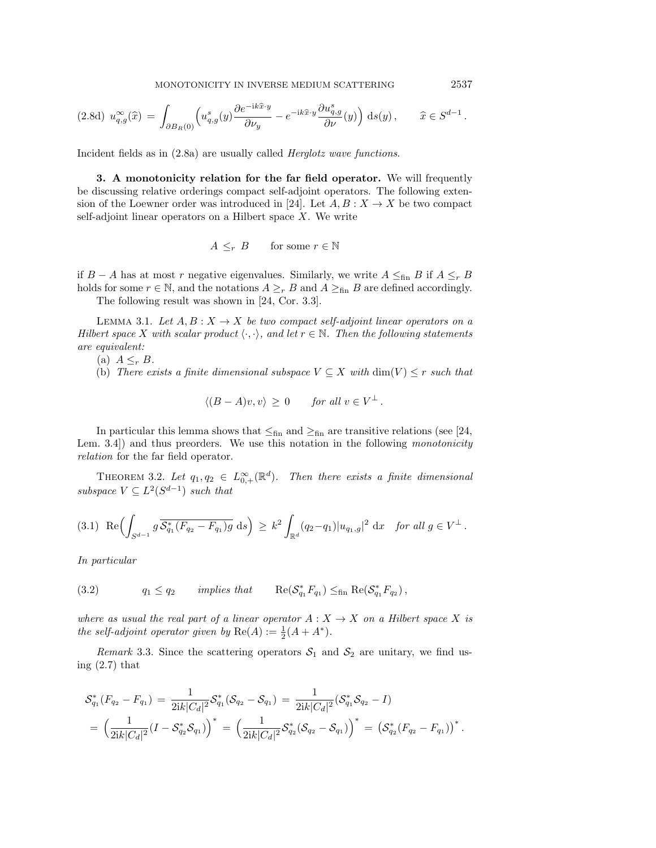MONOTONICITY IN INVERSE MEDIUM SCATTERING 2537

<span id="page-4-5"></span>
$$
(2.8d) \ u_{q,g}^{\infty}(\widehat{x}) = \int_{\partial B_R(0)} \left( u_{q,g}^s(y) \frac{\partial e^{-ik\widehat{x} \cdot y}}{\partial \nu_y} - e^{-ik\widehat{x} \cdot y} \frac{\partial u_{q,g}^s}{\partial \nu}(y) \right) \, \mathrm{d}s(y) \,, \qquad \widehat{x} \in S^{d-1} \,.
$$

Incident fields as in [\(2.8a\)](#page-3-1) are usually called Herglotz wave functions.

<span id="page-4-0"></span>3. A monotonicity relation for the far field operator. We will frequently be discussing relative orderings compact self-adjoint operators. The following exten-sion of the Loewner order was introduced in [\[24\]](#page-23-5). Let  $A, B: X \rightarrow X$  be two compact self-adjoint linear operators on a Hilbert space  $X$ . We write

$$
A \leq_r B \qquad \text{for some } r \in \mathbb{N}
$$

if  $B - A$  has at most r negative eigenvalues. Similarly, we write  $A \leq_{fin} B$  if  $A \leq_r B$ holds for some  $r \in \mathbb{N}$ , and the notations  $A \geq_r B$  and  $A \geq_{fin} B$  are defined accordingly.

The following result was shown in [\[24,](#page-23-5) Cor. 3.3].

LEMMA 3.1. Let  $A, B: X \rightarrow X$  be two compact self-adjoint linear operators on a Hilbert space X with scalar product  $\langle \cdot , \cdot \rangle$ , and let  $r \in \Bbb N$ . Then the following statements are equivalent:

- (a)  $A \leq_r B$ .
- (b) There exists a finite dimensional subspace  $V \subseteq X$  with  $\dim(V) \leq r$  such that

$$
\langle (B-A)v, v \rangle \ge 0 \quad \text{for all } v \in V^{\perp}.
$$

In particular this lemma shows that  $\leq_{fin}$  and  $\geq_{fin}$  are transitive relations (see [\[24,](#page-23-5) Lem. 3.4) and thus preorders. We use this notation in the following *monotonicity* relation for the far field operator.

<span id="page-4-4"></span>THEOREM 3.2. Let  $q_1, q_2 \in L_{0,+}^{\infty}(\mathbb{R}^d)$ . Then there exists a finite dimensional subspace  $V \subseteq L^2(S^{d-1})$  such that

<span id="page-4-1"></span>
$$
(3.1) \ \operatorname{Re} \Bigl( \int_{S^{d-1}} g \, \overline{\mathcal{S}_{q_1}^*(F_{q_2} - F_{q_1})g} \, \, ds \Bigr) \, \ge \, k^2 \int_{\mathbb{R}^d} (q_2 - q_1) |u_{q_1,g}|^2 \, \, dx \quad \text{for all } g \in V^{\perp} \, .
$$

In particular

<span id="page-4-2"></span>(3.2) 
$$
q_1 \leq q_2 \qquad \text{implies that} \qquad \text{Re}(\mathcal{S}_{q_1}^* F_{q_1}) \leq_{\text{fin}} \text{Re}(\mathcal{S}_{q_1}^* F_{q_2}),
$$

where as usual the real part of a linear operator  $A: X \rightarrow X$  on a Hilbert space X is the self-adjoint operator given by  $\text{Re}(A) := \frac{1}{2}(A + A^*)$ .

<span id="page-4-3"></span>Remark 3.3. Since the scattering operators  $S_1$  and  $S_2$  are unitary, we find using [\(2.7\)](#page-3-2) that

$$
\mathcal{S}_{q_1}^*(F_{q_2} - F_{q_1}) = \frac{1}{2ik|C_d|^2} \mathcal{S}_{q_1}^*(\mathcal{S}_{q_2} - \mathcal{S}_{q_1}) = \frac{1}{2ik|C_d|^2} (\mathcal{S}_{q_1}^*\mathcal{S}_{q_2} - I)
$$
  
=  $\left(\frac{1}{2ik|C_d|^2} (I - \mathcal{S}_{q_2}^*\mathcal{S}_{q_1})\right)^* = \left(\frac{1}{2ik|C_d|^2} \mathcal{S}_{q_2}^*(\mathcal{S}_{q_2} - \mathcal{S}_{q_1})\right)^* = \left(\mathcal{S}_{q_2}^*(F_{q_2} - F_{q_1})\right)^*.$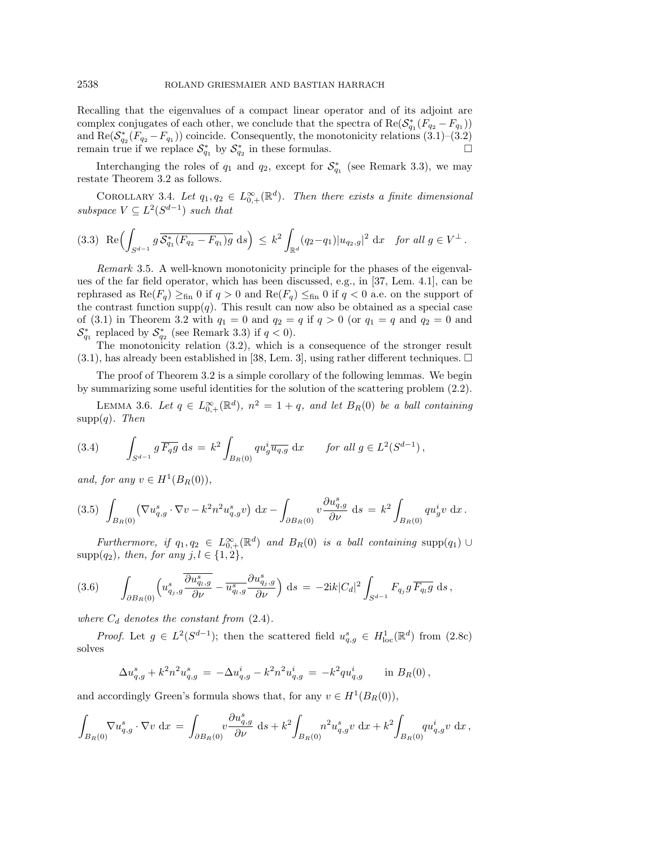Recalling that the eigenvalues of a compact linear operator and of its adjoint are complex conjugates of each other, we conclude that the spectra of  $\text{Re}(\mathcal{S}_{q_1}^*(F_{q_2} - F_{q_1}))$ and Re $(\mathcal{S}_{q_2}^*(F_{q_2} - F_{q_1}))$  coincide. Consequently, the monotonicity relations  $(3.1)$ – $(3.2)$ remain true if we replace  $\mathcal{S}_{q_1}^*$  by  $\mathcal{S}_{q_2}^*$  in these formulas.

Interchanging the roles of  $q_1$  and  $q_2$ , except for  $\mathcal{S}_{q_1}^*$  (see Remark [3.3\)](#page-4-3), we may restate Theorem [3.2](#page-4-4) as follows.

<span id="page-5-3"></span>COROLLARY 3.4. Let  $q_1, q_2 \in L_{0,+}^{\infty}(\mathbb{R}^d)$ . Then there exists a finite dimensional subspace  $V \subseteq L^2(S^{d-1})$  such that

<span id="page-5-4"></span>
$$
(3.3) \ \operatorname{Re} \Bigl( \int_{S^{d-1}} g \overline{\mathcal{S}_{q_1}^*(F_{q_2} - F_{q_1})g} \ ds \Bigr) \le k^2 \int_{\mathbb{R}^d} (q_2 - q_1) |u_{q_2,g}|^2 \ dx \quad \text{for all } g \in V^{\perp}.
$$

Remark 3.5. A well-known monotonicity principle for the phases of the eigenvalues of the far field operator, which has been discussed, e.g., in [\[37,](#page-23-11) Lem. 4.1], can be rephrased as  $\text{Re}(F_q) \geq_{fin} 0$  if  $q > 0$  and  $\text{Re}(F_q) \leq_{fin} 0$  if  $q < 0$  a.e. on the support of the contrast function supp $(q)$ . This result can now also be obtained as a special case of [\(3.1\)](#page-4-1) in Theorem [3.2](#page-4-4) with  $q_1 = 0$  and  $q_2 = q$  if  $q > 0$  (or  $q_1 = q$  and  $q_2 = 0$  and  $\mathcal{S}_{q_1}^*$  replaced by  $\mathcal{S}_{q_2}^*$  (see Remark [3.3\)](#page-4-3) if  $q < 0$ ).

The monotonicity relation [\(3.2\)](#page-4-2), which is a consequence of the stronger result  $(3.1)$ , has already been established in [\[38,](#page-23-12) Lem. 3], using rather different techniques.  $\square$ 

The proof of Theorem [3.2](#page-4-4) is a simple corollary of the following lemmas. We begin by summarizing some useful identities for the solution of the scattering problem [\(2.2\)](#page-2-5).

LEMMA 3.6. Let  $q \in L_{0,+}^{\infty}(\mathbb{R}^d)$ ,  $n^2 = 1 + q$ , and let  $B_R(0)$  be a ball containing  $supp(q)$ . Then

<span id="page-5-1"></span>(3.4) 
$$
\int_{S^{d-1}} g \overline{F_q g} ds = k^2 \int_{B_R(0)} qu_g^i \overline{u_{q,g}} dx \quad \text{for all } g \in L^2(S^{d-1}),
$$

and, for any  $v \in H^1(B_R(0)),$ 

<span id="page-5-0"></span>
$$
(3.5) \int_{B_R(0)} (\nabla u_{q,g}^s \cdot \nabla v - k^2 n^2 u_{q,g}^s v) dx - \int_{\partial B_R(0)} v \frac{\partial u_{q,g}^s}{\partial \nu} ds = k^2 \int_{B_R(0)} q u_g^i v dx.
$$

Furthermore, if  $q_1, q_2 \in L_{0,+}^{\infty}(\mathbb{R}^d)$  and  $B_R(0)$  is a ball containing supp $(q_1) \cup$  ${\rm supp}(q_2)$ , then, for any  $j, l \in \{ 1, 2\}$ ,

<span id="page-5-2"></span>(3.6) 
$$
\int_{\partial B_R(0)} \left( u_{q_j,g}^s \frac{\overline{\partial u_{q_l,g}^s}}{\partial \nu} - \overline{u_{q_l,g}^s} \frac{\partial u_{q_j,g}^s}{\partial \nu} \right) ds = -2ik|C_d|^2 \int_{S^{d-1}} F_{q_j} g \overline{F_{q_l} g} ds,
$$

where  $C_d$  denotes the constant from  $(2.4)$ .

*Proof.* Let  $g \in L^2(S^{d-1})$ ; then the scattered field  $u_{q,g}^s \in H_{\text{loc}}^1(\mathbb{R}^d)$  from  $(2.8c)$ solves

$$
\Delta u_{q,g}^s + k^2 n^2 u_{q,g}^s = -\Delta u_{q,g}^i - k^2 n^2 u_{q,g}^i = -k^2 q u_{q,g}^i \quad \text{in } B_R(0),
$$

and accordingly Green's formula shows that, for any  $v \in H^1(B_R(0)),$ 

$$
\int_{B_R(0)} \nabla u_{q,g}^s \cdot \nabla v \, dx = \int_{\partial B_R(0)} v \frac{\partial u_{q,g}^s}{\partial \nu} \, ds + k^2 \int_{B_R(0)} n^2 u_{q,g}^s v \, dx + k^2 \int_{B_R(0)} q u_{q,g}^i v \, dx,
$$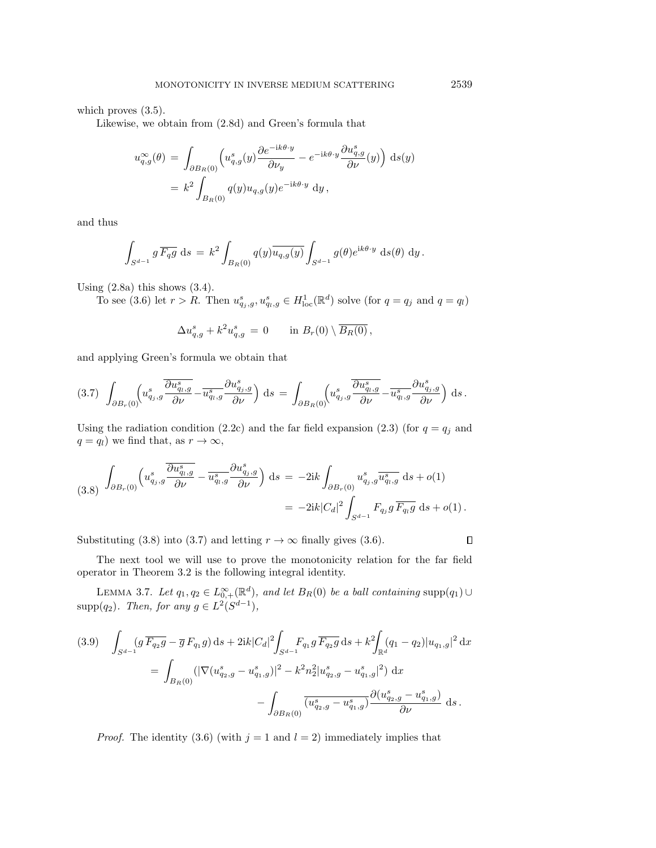which proves  $(3.5)$ .

Likewise, we obtain from [\(2.8d\)](#page-4-5) and Green's formula that

$$
u_{q,g}^{\infty}(\theta) = \int_{\partial B_R(0)} \left( u_{q,g}^s(y) \frac{\partial e^{-ik\theta \cdot y}}{\partial \nu_y} - e^{-ik\theta \cdot y} \frac{\partial u_{q,g}^s}{\partial \nu}(y) \right) ds(y)
$$
  
=  $k^2 \int_{B_R(0)} q(y) u_{q,g}(y) e^{-ik\theta \cdot y} dy$ ,

and thus

$$
\int_{S^{d-1}} g \overline{F_q g} ds = k^2 \int_{B_R(0)} q(y) \overline{u_{q,g}(y)} \int_{S^{d-1}} g(\theta) e^{ik\theta \cdot y} ds(\theta) dy.
$$

Using  $(2.8a)$  this shows  $(3.4)$ .

To see [\(3.6\)](#page-5-2) let  $r > R$ . Then  $u_{q_j,g}^s, u_{q_l,g}^s \in H_{\text{loc}}^1(\mathbb{R}^d)$  solve (for  $q = q_j$  and  $q = q_l$ )

$$
\Delta u_{q,g}^s + k^2 u_{q,g}^s = 0 \qquad \text{in $B_r(0) \setminus \overline{B_R(0)}$},
$$

and applying Green's formula we obtain that

<span id="page-6-1"></span>
$$
(3.7)\ \ \int_{\partial B_r(0)} \left(u^s_{q_j,g}\frac{\overline{\partial u^s_{q_l,g}}}{\partial \nu} - \overline{u^s_{q_l,g}}\frac{\partial u^s_{q_j,g}}{\partial \nu}\right)\,\mathrm{d}s\,=\,\int_{\partial B_R(0)} \left(u^s_{q_j,g}\frac{\overline{\partial u^s_{q_l,g}}}{\partial \nu} - \overline{u^s_{q_l,g}}\frac{\partial u^s_{q_j,g}}{\partial \nu}\right)\,\mathrm{d}s\,.
$$

Using the radiation condition [\(2.2c\)](#page-2-2) and the far field expansion [\(2.3\)](#page-3-4) (for  $q = q_j$  and  $q = q_l$ ) we find that, as  $r \rightarrow \infty$ ,

<span id="page-6-0"></span>(3.8) 
$$
\int_{\partial B_r(0)} \left( u_{q_j,g}^s \frac{\partial u_{q_i,g}^s}{\partial \nu} - \frac{u_{q_i,g}^s}{\partial \nu} \frac{\partial u_{q_j,g}^s}{\partial \nu} \right) ds = -2ik \int_{\partial B_r(0)} u_{q_j,g}^s \overline{u_{q_i,g}^s} ds + o(1) = -2ik |C_d|^2 \int_{S^{d-1}} F_{q_j} g \overline{F_{q_i} g} ds + o(1).
$$

Substituting [\(3.8\)](#page-6-0) into [\(3.7\)](#page-6-1) and letting  $r \rightarrow \infty$  finally gives [\(3.6\)](#page-5-2).

The next tool we will use to prove the monotonicity relation for the far field operator in Theorem [3.2](#page-4-4) is the following integral identity.

LEMMA 3.7. Let  $q_1, q_2 \in L_{0,+}^{\infty}(\mathbb{R}^d)$ , and let  $B_R(0)$  be a ball containing  $\text{supp}(q_1) \cup$ supp $(q_2)$ . Then, for any  $g \in L^2(S^{d-1})$ ,

<span id="page-6-2"></span>
$$
(3.9) \quad \int_{S^{d-1}} (g \overline{F_{q_2}g} - \overline{g} F_{q_1}g) ds + 2ik|C_d|^2 \int_{S^{d-1}} F_{q_1}g \overline{F_{q_2}g} ds + k^2 \int_{\mathbb{R}^d} (q_1 - q_2)|u_{q_1,g}|^2 dx
$$

$$
= \int_{B_R(0)} (|\nabla (u_{q_2,g}^s - u_{q_1,g}^s)|^2 - k^2 n_2^2 |u_{q_2,g}^s - u_{q_1,g}^s|^2) dx
$$

$$
- \int_{\partial B_R(0)} \overline{(u_{q_2,g}^s - u_{q_1,g}^s)} \frac{\partial (u_{q_2,g}^s - u_{q_1,g}^s)}{\partial \nu} ds.
$$

*Proof.* The identity [\(3.6\)](#page-5-2) (with  $j = 1$  and  $l = 2$ ) immediately implies that

 $\Box$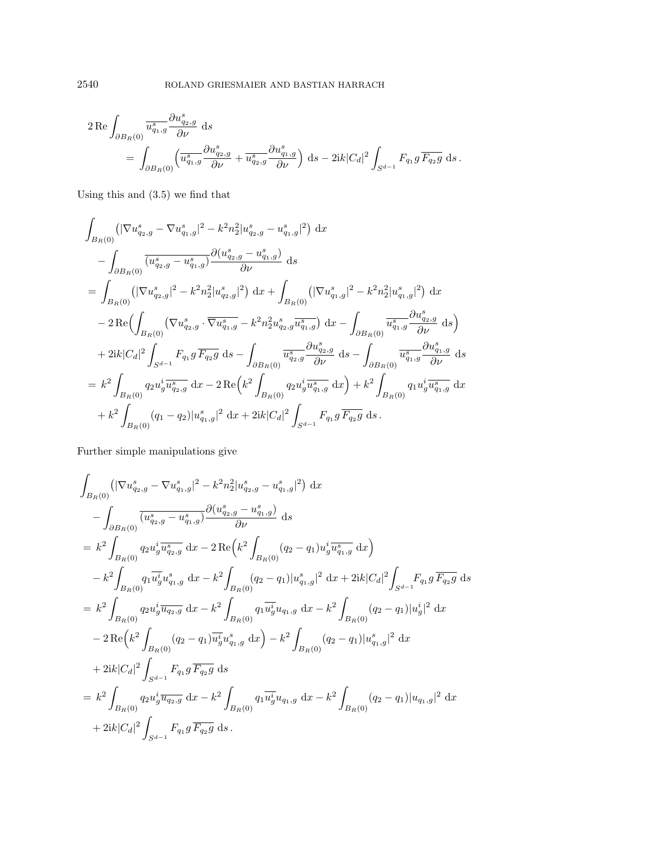$$
\label{eq:2} \begin{aligned} 2\operatorname{Re}&\int_{\partial B_R(0)}\overline{u^s_{q_1,g}}\frac{\partial u^s_{q_2,g}}{\partial \nu}\mathrm{~d}s\\ &=\int_{\partial B_R(0)}\left(\overline{u^s_{q_1,g}}\frac{\partial u^s_{q_2,g}}{\partial \nu}+\overline{u^s_{q_2,g}}\frac{\partial u^s_{q_1,g}}{\partial \nu}\right)\mathrm{~d}s - 2\mathrm{i}k|C_d|^2\int_{S^{d-1}}F_{q_1}g\,\overline{F_{q_2}g}\mathrm{~d}s\,. \end{aligned}
$$

Using this and [\(3.5\)](#page-5-0) we find that

$$
\int_{B_R(0)} \left( |\nabla u_{q_2,g}^s - \nabla u_{q_1,g}^s|^2 - k^2 n_2^2 |u_{q_2,g}^s - u_{q_1,g}^s|^2 \right) dx
$$
\n
$$
- \int_{\partial B_R(0)} \overline{(u_{q_2,g}^s - u_{q_1,g}^s)} \frac{\partial (u_{q_2,g}^s - u_{q_1,g}^s)}{\partial \nu} ds
$$
\n
$$
= \int_{B_R(0)} \left( |\nabla u_{q_2,g}^s|^2 - k^2 n_2^2 |u_{q_2,g}^s|^2 \right) dx + \int_{B_R(0)} \left( |\nabla u_{q_1,g}^s|^2 - k^2 n_2^2 |u_{q_1,g}^s|^2 \right) dx
$$
\n
$$
- 2 \operatorname{Re} \Bigl( \int_{B_R(0)} \left( \nabla u_{q_2,g}^s \cdot \overline{\nabla u_{q_1,g}^s} - k^2 n_2^2 u_{q_2,g}^s \overline{u_{q_1,g}^s} \right) dx - \int_{\partial B_R(0)} \overline{u_{q_1,g}^s} \frac{\partial u_{q_2,g}^s}{\partial \nu} ds \Bigr)
$$
\n
$$
+ 2ik |C_d|^2 \int_{S^{d-1}} F_{q_1} g \overline{F_{q_2} g} ds - \int_{\partial B_R(0)} \overline{u_{q_2,g}^s} \frac{\partial u_{q_2,g}^s}{\partial \nu} ds - \int_{\partial B_R(0)} \overline{u_{q_1,g}^s} \frac{\partial u_{q_1,g}^s}{\partial \nu} ds
$$
\n
$$
= k^2 \int_{B_R(0)} q_2 u_g^i \overline{u_{q_2,g}^s} dx - 2 \operatorname{Re} \Bigl( k^2 \int_{B_R(0)} q_2 u_g^i \overline{u_{q_1,g}^s} dx \Bigr) + k^2 \int_{B_R(0)} q_1 u_g^i \overline{u_{q_1,g}^s} dx
$$
\n
$$
+ k^2 \int_{B_R(0)} (q_1 - q_2) |u_{q_1,g}^s|^2 dx + 2ik |C_d|^2 \int_{S^{d-1}} F_{q_1} g \overline{F_{q_2}
$$

Further simple manipulations give

$$
\int_{B_{R}(0)} (|\nabla u_{q_{2},g}^{s} - \nabla u_{q_{1},g}^{s}|^{2} - k^{2}n_{2}^{2}|u_{q_{2},g}^{s} - u_{q_{1},g}^{s}|^{2}) dx \n- \int_{\partial B_{R}(0)} \overline{(u_{q_{2},g}^{s} - u_{q_{1},g}^{s})} \frac{\partial(u_{q_{2},g}^{s} - u_{q_{1},g}^{s})}{\partial \nu} ds \n= k^{2} \int_{B_{R}(0)} q_{2} u_{g}^{i} \overline{u_{q_{2},g}^{s}} dx - 2 \operatorname{Re} \left(k^{2} \int_{B_{R}(0)} (q_{2} - q_{1}) u_{g}^{i} \overline{u_{q_{1},g}^{s}} dx \right) \n- k^{2} \int_{B_{R}(0)} q_{1} \overline{u_{g}^{i}} u_{q_{1},g}^{s} dx - k^{2} \int_{B_{R}(0)} (q_{2} - q_{1}) |u_{q_{1},g}^{s}|^{2} dx + 2ik |C_{d}|^{2} \int_{S^{d-1}} F_{q_{1},g} \overline{F_{q_{2},g}} ds \n= k^{2} \int_{B_{R}(0)} q_{2} u_{g}^{i} \overline{u_{q_{2},g}} dx - k^{2} \int_{B_{R}(0)} q_{1} \overline{u_{g}^{i}} u_{q_{1},g} dx - k^{2} \int_{B_{R}(0)} (q_{2} - q_{1}) |u_{g}^{i}|^{2} dx \n- 2 \operatorname{Re} \left(k^{2} \int_{B_{R}(0)} (q_{2} - q_{1}) \overline{u_{g}^{i}} u_{q_{1},g}^{s} dx \right) - k^{2} \int_{B_{R}(0)} (q_{2} - q_{1}) |u_{q_{1},g}^{s}|^{2} dx \n+ 2ik |C_{d}|^{2} \int_{S^{d-1}} F_{q_{1},g} \overline{F_{q_{2},g}} ds \n= k^{2} \int_{B_{R}(0)} q_{2} u_{g}^{i} \overline{u_{q_{2},g}} dx - k^{2} \int_{B_{R}(0)} q_{1} \overline{u_{g}^{i}} u_{q_{1},g} dx - k^{2} \int_{B_{R}(0)} (q_{2} - q
$$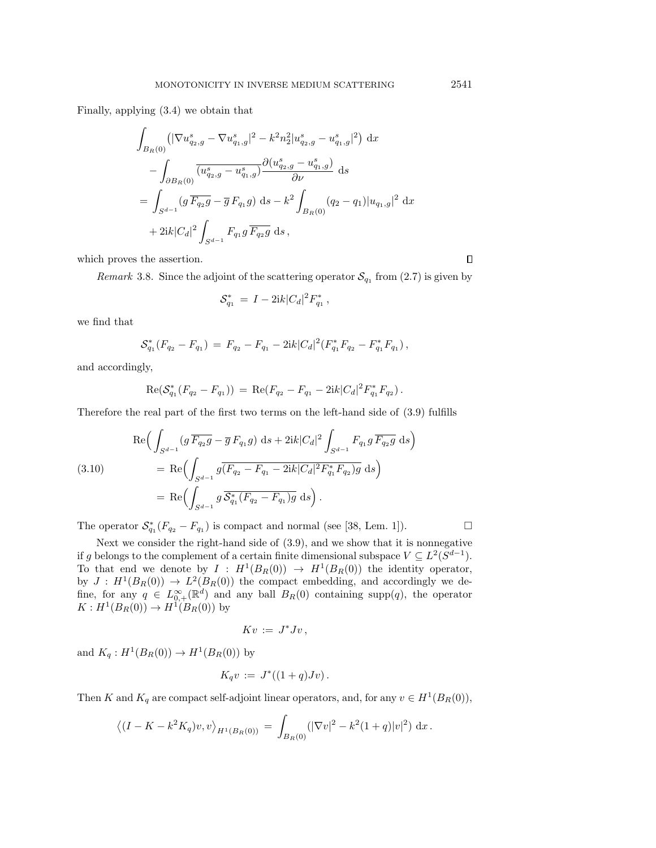Finally, applying [\(3.4\)](#page-5-1) we obtain that

$$
\int_{B_R(0)} \left( |\nabla u_{q_2,g}^s - \nabla u_{q_1,g}^s|^2 - k^2 n_2^2 |u_{q_2,g}^s - u_{q_1,g}^s|^2 \right) dx
$$
  

$$
- \int_{\partial B_R(0)} \overline{(u_{q_2,g}^s - u_{q_1,g}^s)} \frac{\partial (u_{q_2,g}^s - u_{q_1,g}^s)}{\partial \nu} ds
$$
  

$$
= \int_{S^{d-1}} (g \overline{F_{q_2}g} - \overline{g} F_{q_1}g) ds - k^2 \int_{B_R(0)} (q_2 - q_1) |u_{q_1,g}|^2 dx
$$
  

$$
+ 2ik |C_d|^2 \int_{S^{d-1}} F_{q_1}g \overline{F_{q_2}g} ds,
$$

which proves the assertion.

Remark 3.8. Since the adjoint of the scattering operator  $\mathcal{S}_{q_1}$  from [\(2.7\)](#page-3-2) is given by

$$
\mathcal{S}_{q_1}^* = I - 2ik|C_d|^2 F_{q_1}^*,
$$

we find that

$$
\mathcal{S}_{q_1}^*(F_{q_2} - F_{q_1}) = F_{q_2} - F_{q_1} - 2ik|C_d|^2(F_{q_1}^*F_{q_2} - F_{q_1}^*F_{q_1}),
$$

and accordingly,

$$
Re(S_{q_1}^*(F_{q_2} - F_{q_1})) = Re(F_{q_2} - F_{q_1} - 2ik|C_d|^2 F_{q_1}^* F_{q_2}).
$$

Therefore the real part of the first two terms on the left-hand side of [\(3.9\)](#page-6-2) fulfills

<span id="page-8-0"></span>(3.10)  
\n
$$
\operatorname{Re}\Big(\int_{S^{d-1}} (g \overline{F_{q_2}g} - \overline{g} F_{q_1}g) ds + 2ik|C_d|^2 \int_{S^{d-1}} F_{q_1}g \overline{F_{q_2}g} ds\Big)
$$
\n
$$
= \operatorname{Re}\Big(\int_{S^{d-1}} g \overline{(F_{q_2} - F_{q_1} - 2ik|C_d|^2 F_{q_1}^* F_{q_2})g} ds\Big)
$$
\n
$$
= \operatorname{Re}\Big(\int_{S^{d-1}} g \overline{\mathcal{S}_{q_1}^*(F_{q_2} - F_{q_1})g} ds\Big).
$$

The operator  $\mathcal{S}_{q_1}^*(F_{q_2} - F_{q_1})$  is compact and normal (see [\[38,](#page-23-12) Lem. 1]).

Next we consider the right-hand side of [\(3.9\)](#page-6-2), and we show that it is nonnegative if g belongs to the complement of a certain finite dimensional subspace  $V \subseteq L^2(S^{d-1})$ . To that end we denote by  $I : H^1(B_R(0)) \rightarrow H^1(B_R(0))$  the identity operator, by  $J : H^1(B_R(0)) \rightarrow L^2(B_R(0))$  the compact embedding, and accordingly we define, for any  $q \in L_{0,+}^{\infty}(\mathbb{R}^d)$  and any ball  $B_R(0)$  containing supp(q), the operator  $K: H^1(B_R(0)) \to H^1(B_R(0))$  by

$$
Kv\,:=\,J^*Jv\,,
$$

and  $K_q: H^1(B_R(0)) \to H^1(B_R(0))$  by

$$
K_q v := J^*((1+q)Jv).
$$

Then K and  $K_q$  are compact self-adjoint linear operators, and, for any  $v \in H^1(B_R(0)),$ 

$$
\left\langle (I - K - k^2 K_q) v, v \right\rangle_{H^1(B_R(0))} = \int_{B_R(0)} (|\nabla v|^2 - k^2 (1+q) |v|^2) dx.
$$

 $\Box$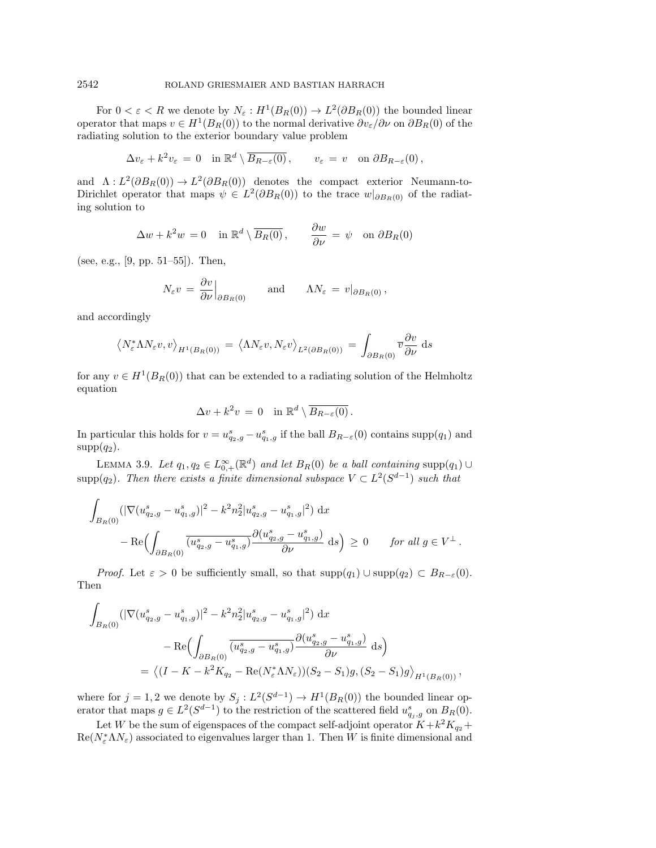For  $0 < \varepsilon < R$  we denote by  $N_{\varepsilon} : H^1(B_R(0)) \to L^2(\partial B_R(0))$  the bounded linear operator that maps  $v \in H^1(B_R(0))$  to the normal derivative  $\partial v_\varepsilon / \partial \nu$  on  $\partial B_R(0)$  of the radiating solution to the exterior boundary value problem

$$
\Delta v_{\varepsilon} + k^2 v_{\varepsilon} = 0 \quad \text{in } \mathbb{R}^d \setminus \overline{B_{R-\varepsilon}(0)}, \qquad v_{\varepsilon} = v \quad \text{on } \partial B_{R-\varepsilon}(0),
$$

and  $\Lambda : L^2(\partial B_R(0)) \to L^2(\partial B_R(0))$  denotes the compact exterior Neumann-to-Dirichlet operator that maps  $\psi \in L^2(\partial B_R(0))$  to the trace  $w|_{\partial B_R(0)}$  of the radiating solution to

$$
\Delta w + k^2 w = 0 \quad \text{in } \mathbb{R}^d \setminus \overline{B_R(0)}, \qquad \frac{\partial w}{\partial \nu} = \psi \quad \text{on } \partial B_R(0)
$$

(see, e.g., [\[9,](#page-22-2) pp.  $51-55$ ]). Then,

$$
N_{\varepsilon}v = \frac{\partial v}{\partial \nu}\Big|_{\partial B_R(0)} \quad \text{and} \quad \Lambda N_{\varepsilon} = v|_{\partial B_R(0)},
$$

and accordingly

$$
\left\langle N_{\varepsilon}^{*} \Lambda N_{\varepsilon} v, v \right\rangle_{H^{1}(B_{R}(0))} = \left\langle \Lambda N_{\varepsilon} v, N_{\varepsilon} v \right\rangle_{L^{2}(\partial B_{R}(0))} = \int_{\partial B_{R}(0)} \overline{v} \frac{\partial v}{\partial \nu} ds
$$

for any  $v \in H^1(B_R(0))$  that can be extended to a radiating solution of the Helmholtz equation

$$
\Delta v + k^2 v = 0 \quad \text{in } \mathbb{R}^d \setminus \overline{B_{R-\varepsilon}(0)} \, .
$$

In particular this holds for  $v = u_{q_2,g}^s - u_{q_1,g}^s$  if the ball  $B_{R-\varepsilon}(0)$  contains supp $(q_1)$  and  $supp(q_2)$ .

<span id="page-9-0"></span>LEMMA 3.9. Let  $q_1, q_2 \in L_{0,+}^{\infty}(\mathbb{R}^d)$  and let  $B_R(0)$  be a ball containing supp $(q_1) \cup$ supp $(q_2)$ . Then there exists a finite dimensional subspace  $V \subset L^2(S^{d-1})$  such that

$$
\int_{B_R(0)} (|\nabla (u_{q_2,g}^s - u_{q_1,g}^s)|^2 - k^2 n_2^2 |u_{q_2,g}^s - u_{q_1,g}^s|^2) dx
$$
  
 
$$
- \operatorname{Re} \Bigl( \int_{\partial B_R(0)} \overline{(u_{q_2,g}^s - u_{q_1,g}^s)} \frac{\partial (u_{q_2,g}^s - u_{q_1,g}^s)}{\partial \nu} ds \Bigr) \ge 0 \qquad \text{for all } g \in V^{\perp}.
$$

*Proof.* Let  $\epsilon > 0$  be sufficiently small, so that  $\text{supp}(q_1) \cup \text{supp}(q_2) \subset B_{R - \epsilon}(0).$ Then

$$
\int_{B_R(0)} (|\nabla (u_{q_2,g}^s - u_{q_1,g}^s)|^2 - k^2 n_2^2 |u_{q_2,g}^s - u_{q_1,g}^s|^2) dx \n- \text{Re}\Bigl(\int_{\partial B_R(0)} \overline{(u_{q_2,g}^s - u_{q_1,g}^s)} \frac{\partial (u_{q_2,g}^s - u_{q_1,g}^s)}{\partial \nu} ds\Bigr) \n= \langle (I - K - k^2 K_{q_2} - \text{Re}(N_{\varepsilon}^* \Lambda N_{\varepsilon})) (S_2 - S_1)g, (S_2 - S_1)g \rangle_{H^1(B_R(0))},
$$

where for  $j = 1, 2$  we denote by  $S_j : L^2(S^{d-1}) \rightarrow H^1(B_R(0))$  the bounded linear operator that maps  $g \in L^2(S^{d-1})$  to the restriction of the scattered field  $u_{q_j,g}^s$  on  $B_R(0)$ .

Let W be the sum of eigenspaces of the compact self-adjoint operator  $K + k^2 K_{q_2} +$  $\text{Re}(N_{\varepsilon}^* \Lambda N_{\varepsilon})$  associated to eigenvalues larger than 1. Then W is finite dimensional and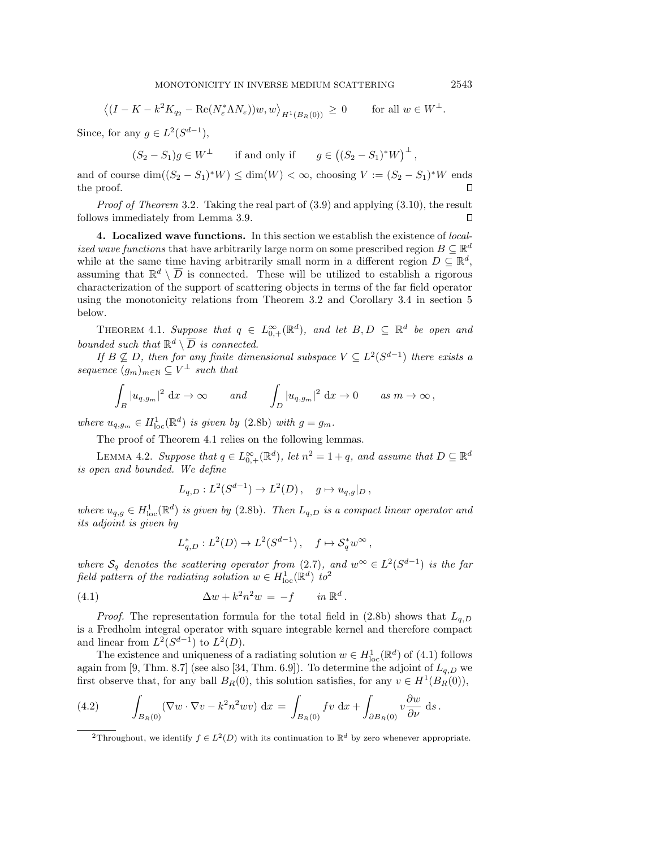$$
\left\langle (I - K - k^2 K_{q_2} - \text{Re}(N_{\varepsilon}^* \Lambda N_{\varepsilon}))w, w \right\rangle_{H^1(B_R(0))} \ge 0 \quad \text{for all } w \in W^{\perp}.
$$

Since, for any  $g \in L^2(S^{d-1}),$ 

$$
(S_2 - S_1)g \in W^{\perp}
$$
 if and only if  $g \in ((S_2 - S_1)^*W)^{\perp}$ ,

and of course  $\dim((S_2 - S_1)^*W) \leq \dim(W) < \infty$ , choosing  $V := (S_2 - S_1)^*W$  ends the proof.  $\Box$ 

Proof of Theorem [3.2](#page-4-4). Taking the real part of  $(3.9)$  and applying  $(3.10)$ , the result follows immediately from Lemma [3.9.](#page-9-0)  $\Box$ 

<span id="page-10-0"></span>4. Localized wave functions. In this section we establish the existence of localized wave functions that have arbitrarily large norm on some prescribed region  $B \subseteq \mathbb R^d$ while at the same time having arbitrarily small norm in a different region  $D \subseteq \mathbb{R}^d$ , assuming that  $\mathbb{R}^d \setminus \overline{D}$  is connected. These will be utilized to establish a rigorous characterization of the support of scattering objects in terms of the far field operator using the monotonicity relations from Theorem [3.2](#page-4-4) and Corollary [3.4](#page-5-3) in section [5](#page-14-0) below.

<span id="page-10-1"></span>THEOREM 4.1. Suppose that  $q \in L_{0,+}^{\infty}(\mathbb{R}^d)$ , and let  $B, D \subseteq \mathbb{R}^d$  be open and bounded such that  $\mathbb{R}^d \setminus \overline{D}$  is connected.

If  $B \not\subseteq D$ , then for any finite dimensional subspace  $V \subseteq L^2(S^{d-1})$  there exists a sequence  $(g_m)_{m \in \mathbb{N}} \subseteq V^{\perp}$  such that

$$
\int_B |u_{q,g_m}|^2 \, \mathrm{d}x \to \infty \qquad \text{and} \qquad \int_D |u_{q,g_m}|^2 \, \mathrm{d}x \to 0 \qquad \text{as } m \to \infty \,,
$$

where  $u_{q,g_m} \in H^1_{loc}(\mathbb{R}^d)$  is given by [\(2.8b\)](#page-3-5) with  $g = g_m$ .

The proof of Theorem [4.1](#page-10-1) relies on the following lemmas.

<span id="page-10-5"></span>LEMMA 4.2. Suppose that  $q \in L_{0,+}^{\infty}(\mathbb{R}^d)$ , let  $n^2 = 1 + q$ , and assume that  $D \subseteq \mathbb{R}^d$ is open and bounded. We define

$$
L_{q,D}: L^2(S^{d-1}) \to L^2(D), \quad g \mapsto u_{q,g}|_D,
$$

where  $u_{q,g} \in H^1_{loc}(\mathbb{R}^d)$  is given by [\(2.8b\)](#page-3-5). Then  $L_{q,D}$  is a compact linear operator and its adjoint is given by

<span id="page-10-3"></span>
$$
L_{q,D}^*: L^2(D) \to L^2(S^{d-1}), \quad f \mapsto \mathcal{S}_q^* w^\infty,
$$

where  $\mathcal{S}_q$  denotes the scattering operator from [\(2.7\)](#page-3-2), and  $w^{\infty} \in L^2(S^{d-1})$  is the far field pattern of the radiating solution  $w \in H^1_{\text{loc}}(\mathbb{R}^d)$  to<sup>[2](#page-10-2)</sup>

(4.1) 
$$
\Delta w + k^2 n^2 w = -f \quad in \mathbb{R}^d.
$$

*Proof.* The representation formula for the total field in [\(2.8b\)](#page-3-5) shows that  $L_{q,D}$ is a Fredholm integral operator with square integrable kernel and therefore compact and linear from  $L^2(S^{d-1})$  to  $L^2(D)$ .

The existence and uniqueness of a radiating solution  $w \in H^1_{loc}(\mathbb{R}^d)$  of [\(4.1\)](#page-10-3) follows again from [\[9,](#page-22-2) Thm. 8.7] (see also [\[34,](#page-23-24) Thm. 6.9]). To determine the adjoint of  $L_{q,D}$  we first observe that, for any ball  $B_R(0)$ , this solution satisfies, for any  $v \in H^1(B_R(0))$ ,

<span id="page-10-4"></span>(4.2) 
$$
\int_{B_R(0)} (\nabla w \cdot \nabla v - k^2 n^2 w v) \, dx = \int_{B_R(0)} f v \, dx + \int_{\partial B_R(0)} v \frac{\partial w}{\partial \nu} \, ds.
$$

<span id="page-10-2"></span><sup>2</sup>Throughout, we identify  $f \in L^2(D)$  with its continuation to  $\mathbb{R}^d$  by zero whenever appropriate.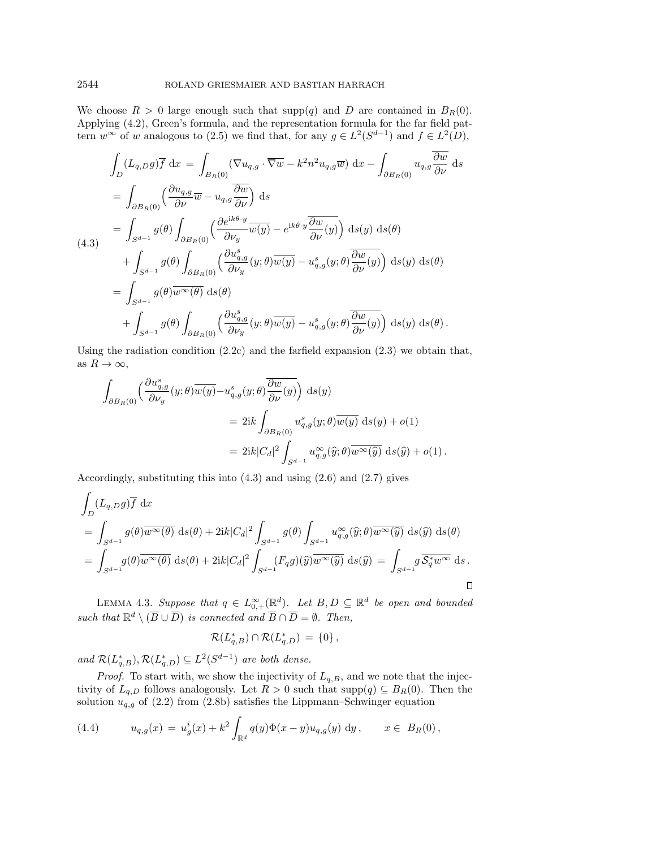We choose  $R > 0$  large enough such that supp $(q)$  and D are contained in  $B_R(0)$ . Applying [\(4.2\)](#page-10-4), Green's formula, and the representation formula for the far field pattern  $w^{\infty}$  of w analogous to [\(2.5\)](#page-3-6) we find that, for any  $g \in L^2(S^{d-1})$  and  $f \in L^2(D)$ ,

<span id="page-11-0"></span>
$$
\int_{D} (L_{q,D}g)\overline{f} dx = \int_{B_R(0)} (\nabla u_{q,g} \cdot \overline{\nabla w} - k^2 n^2 u_{q,g}\overline{w}) dx - \int_{\partial B_R(0)} u_{q,g} \frac{\overline{\partial w}}{\partial \nu} ds
$$
\n
$$
= \int_{\partial B_R(0)} \left( \frac{\partial u_{q,g}}{\partial \nu} \overline{w} - u_{q,g} \frac{\overline{\partial w}}{\partial \nu} \right) ds
$$
\n
$$
= \int_{S^{d-1}} g(\theta) \int_{\partial B_R(0)} \left( \frac{\partial e^{ik\theta \cdot y}}{\partial \nu_y} \overline{w(y)} - e^{ik\theta \cdot y} \frac{\overline{\partial w}}{\partial \nu}(y) \right) ds(y) ds(\theta)
$$
\n
$$
+ \int_{S^{d-1}} g(\theta) \int_{\partial B_R(0)} \left( \frac{\partial u_{q,g}^s}{\partial \nu_y} (y; \theta) \overline{w(y)} - u_{q,g}^s (y; \theta) \frac{\overline{\partial w}}{\partial \nu}(y) \right) ds(y) ds(\theta)
$$
\n
$$
= \int_{S^{d-1}} g(\theta) \overline{w^{\infty}(\theta)} ds(\theta)
$$
\n
$$
+ \int_{S^{d-1}} g(\theta) \int_{\partial B_R(0)} \left( \frac{\partial u_{q,g}^s}{\partial \nu_y} (y; \theta) \overline{w(y)} - u_{q,g}^s (y; \theta) \frac{\overline{\partial w}}{\partial \nu}(y) \right) ds(y) ds(\theta).
$$

Using the radiation condition  $(2.2c)$  and the farfield expansion  $(2.3)$  we obtain that, as  $R \rightarrow \infty$ ,

$$
\begin{aligned} \int_{\partial B_R(0)} & \Big( \frac{\partial u^s_{q,g}}{\partial \nu_y} (y;\theta) \overline{w(y)} - u^s_{q,g}(y;\theta) \overline{\frac{\partial w}{\partial \nu} (y)} \Big) \, \,\mathrm{d}s(y) \\ & \qquad = 2 \mathrm{i} k \int_{\partial B_R(0)} u^s_{q,g}(y;\theta) \overline{w(y)} \, \,\mathrm{d}s(y) + o(1) \\ & \qquad = 2 \mathrm{i} k |C_d|^2 \int_{S^{d-1}} u^{\infty}_{q,g}(\widehat{y};\theta) \overline{w^{\infty}(\widehat{y})} \, \,\mathrm{d}s(\widehat{y}) + o(1) \, . \end{aligned}
$$

Accordingly, substituting this into [\(4.3\)](#page-11-0) and using [\(2.6\)](#page-3-7) and [\(2.7\)](#page-3-2) gives

$$
\int_{D} (L_{q,D}g)\overline{f} dx
$$
\n
$$
= \int_{S^{d-1}} g(\theta)\overline{w^{\infty}(\theta)} ds(\theta) + 2ik|C_d|^2 \int_{S^{d-1}} g(\theta) \int_{S^{d-1}} u_{q,g}^{\infty}(\hat{y};\theta)\overline{w^{\infty}(\hat{y})} ds(\hat{y}) ds(\theta)
$$
\n
$$
= \int_{S^{d-1}} g(\theta)\overline{w^{\infty}(\theta)} ds(\theta) + 2ik|C_d|^2 \int_{S^{d-1}} (F_q g)(\hat{y})\overline{w^{\infty}(\hat{y})} ds(\hat{y}) = \int_{S^{d-1}} g \overline{\mathcal{S}_q^* w^{\infty}} ds.
$$

<span id="page-11-2"></span>LEMMA 4.3. Suppose that  $q \in L_{0,+}^{\infty}(\mathbb{R}^d)$ . Let  $B, D \subseteq \mathbb{R}^d$  be open and bounded such that  $\mathbb{R}^d \setminus (\overline{B} \cup \overline{D})$  is connected and  $\overline{B} \cap \overline{D} = \emptyset$ . Then,

$$
\mathcal{R}(L_{q,B}^*) \cap \mathcal{R}(L_{q,D}^*) = \{0\},\
$$

and  $\mathcal{R}(L_{q,B}^*), \mathcal{R}(L_{q,D}^*) \subseteq L^2(S^{d-1})$  are both dense.

*Proof.* To start with, we show the injectivity of  $L_{q,B}$ , and we note that the injectivity of  $L_{q,D}$  follows analogously. Let  $R > 0$  such that supp $(q) \subseteq B_R(0)$ . Then the solution  $u_{q,g}$  of [\(2.2\)](#page-2-5) from [\(2.8b\)](#page-3-5) satisfies the Lippmann–Schwinger equation

<span id="page-11-1"></span>(4.4) 
$$
u_{q,g}(x) = u_g^i(x) + k^2 \int_{\mathbb{R}^d} q(y) \Phi(x - y) u_{q,g}(y) dy, \qquad x \in B_R(0),
$$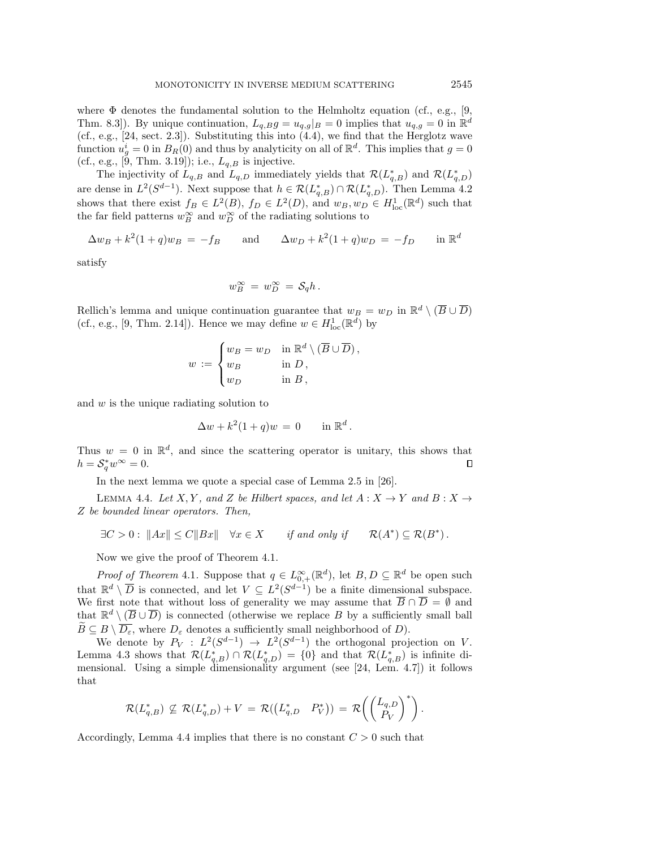where  $\Phi$  denotes the fundamental solution to the Helmholtz equation (cf., e.g., [\[9,](#page-22-2) Thm. 8.3. By unique continuation,  $L_{q,B}g = u_{q,g}|_B = 0$  implies that  $u_{q,g} = 0$  in  $\mathbb{R}^d$ (cf., e.g.,  $[24, \text{ sect. } 2.3]$  $[24, \text{ sect. } 2.3]$ ). Substituting this into  $(4.4)$ , we find that the Herglotz wave function  $u_g^i = 0$  in  $B_R(0)$  and thus by analyticity on all of  $\mathbb{R}^d$ . This implies that  $g = 0$ (cf., e.g., [\[9,](#page-22-2) Thm. 3.19]); i.e.,  $L_{q,B}$  is injective.

The injectivity of  $L_{q,B}$  and  $L_{q,D}$  immediately yields that  $\mathcal{R}(L_{q,B}^*)$  and  $\mathcal{R}(L_{q,D}^*)$ are dense in  $L^2(S^{d-1})$ . Next suppose that  $h \in \mathcal{R}(L_{q,B}^*) \cap \mathcal{R}(L_{q,D}^*)$ . Then Lemma [4.2](#page-10-5) shows that there exist  $f_B \in L^2(B)$ ,  $f_D \in L^2(D)$ , and  $w_B$ ,  $w_D \in H^1_{loc}(\mathbb{R}^d)$  such that the far field patterns  $w_B^{\infty}$  and  $w_D^{\infty}$  of the radiating solutions to

$$
\Delta w_B + k^2 (1+q) w_B = -f_B \quad \text{and} \quad \Delta w_D + k^2 (1+q) w_D = -f_D \quad \text{in } \mathbb{R}^d
$$

satisfy

$$
w_B^{\infty} = w_D^{\infty} = \mathcal{S}_q h.
$$

Rellich's lemma and unique continuation guarantee that  $w_B = w_D$  in  $\mathbb{R}^d \setminus (\overline{B} \cup \overline{D})$ (cf., e.g., [\[9,](#page-22-2) Thm. 2.14]). Hence we may define  $w \in H^1_{loc}(\mathbb{R}^d)$  by

$$
w := \begin{cases} w_B = w_D & \text{in } \mathbb{R}^d \setminus (\overline{B} \cup \overline{D}), \\ w_B & \text{in } D, \\ w_D & \text{in } B, \end{cases}
$$

and w is the unique radiating solution to

<span id="page-12-0"></span>
$$
\Delta w + k^2 (1+q) w = 0 \quad \text{in } \mathbb{R}^d.
$$

Thus  $w = 0$  in  $\mathbb{R}^d$ , and since the scattering operator is unitary, this shows that  $h = \mathcal{S}_q^* w^\infty = 0.$ 

In the next lemma we quote a special case of Lemma 2.5 in [\[26\]](#page-23-1).

LEMMA 4.4. Let X, Y, and Z be Hilbert spaces, and let  $A : X \rightarrow Y$  and  $B : X \rightarrow Y$ Z be bounded linear operators. Then,

$$
\exists C > 0 : ||Ax|| \le C ||Bx|| \quad \forall x \in X \qquad \text{if and only if} \qquad \mathcal{R}(A^*) \subseteq \mathcal{R}(B^*).
$$

Now we give the proof of Theorem [4.1.](#page-10-1)

*Proof of Theorem [4.1](#page-10-1).* Suppose that  $q \in L_{0,+}^{\infty}(\mathbb{R}^d)$ , let  $B, D \subseteq \mathbb{R}^d$  be open such that  $\mathbb{R}^d \setminus \overline{D}$  is connected, and let  $V \subseteq L^2(S^{d-1})$  be a finite dimensional subspace. We first note that without loss of generality we may assume that  $\overline{B} \cap \overline{D} = \emptyset$  and that  $\mathbb{R}^d \setminus (\overline{B} \cup \overline{D})$  is connected (otherwise we replace B by a sufficiently small ball  $\widetilde B\subseteq B \setminus \overline{D_\varepsilon}$ , where  $D_\varepsilon$  denotes a sufficiently small neighborhood of D).

We denote by  $P_V : L^2(S^{d-1}) \rightarrow L^2(S^{d-1})$  the orthogonal projection on V. Lemma [4.3](#page-11-2) shows that  $\mathcal{R}(L_{q,B}^*) \cap \mathcal{R}(L_{q,D}^*) = \{0\}$  and that  $\mathcal{R}(L_{q,B}^*)$  is infinite dimensional. Using a simple dimensionality argument (see [\[24,](#page-23-5) Lem. 4.7]) it follows that

$$
\mathcal{R}(L_{q,B}^*) \nsubseteq \mathcal{R}(L_{q,D}^*) + V = \mathcal{R}((L_{q,D}^* \quad P_V^*)) = \mathcal{R}\left(\begin{pmatrix} L_{q,D} \\ P_V \end{pmatrix}^*\right).
$$

Accordingly, Lemma [4.4](#page-12-0) implies that there is no constant  $C > 0$  such that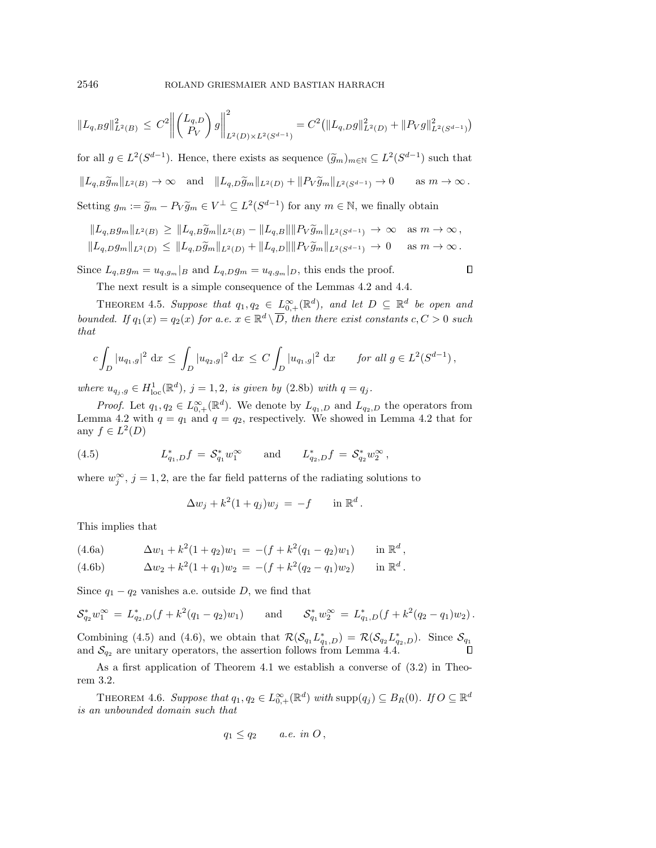$$
||L_{q,B}g||_{L^{2}(B)}^{2} \leq C^{2} \left\| \begin{pmatrix} L_{q,D} \\ P_{V} \end{pmatrix} g \right\|_{L^{2}(D) \times L^{2}(S^{d-1})}^{2} = C^{2} (||L_{q,D}g||_{L^{2}(D)}^{2} + ||P_{V}g||_{L^{2}(S^{d-1})}^{2})
$$

for all  $g \in L^2(S^{d-1})$ . Hence, there exists as sequence  $(\tilde g_m)_{m\in \mathbb{N}} \subseteq L^2(S^{d-1})$  such that  $\| L_{q,B}\widetilde g_m\|_{L^2(B)} \rightarrow \infty \quad \text{and} \quad \| L_{q,D}\widetilde g_m\|_{L^2(D)} + \| P_V \widetilde g_m\|_{L^2(S^{d-1})} \rightarrow 0 \quad \quad \text{as} \; m \rightarrow \infty \,.$ Setting  $g_m := \widetilde g_m - P_V \widetilde g_m \in V^{\perp} \subseteq L^2(S^{d-1})$  for any  $m \in \mathbb{N}$ , we finally obtain

$$
||L_{q,B}g_m||_{L^2(B)} \ge ||L_{q,B}\widetilde{g}_m||_{L^2(B)} - ||L_{q,B}|| ||P_V \widetilde{g}_m||_{L^2(S^{d-1})} \to \infty \text{ as } m \to \infty,
$$
  

$$
||L_{q,B}g_m||_{L^2(D)} \le ||L_{q,D}\widetilde{g}_m||_{L^2(D)} + ||L_{q,D}|| ||P_V \widetilde{g}_m||_{L^2(S^{d-1})} \to 0 \text{ as } m \to \infty.
$$

Since  $L_{q,B}g_m = u_{q,g_m}|_B$  and  $L_{q,D}g_m = u_{q,g_m}|_D$ , this ends the proof.

<span id="page-13-2"></span>

 $\Box$ 

The next result is a simple consequence of the Lemmas [4.2](#page-10-5) and [4.4.](#page-12-0)

THEOREM 4.5. Suppose that  $q_1, q_2 \in L_{0,+}^{\infty}(\mathbb{R}^d)$ , and let  $D \subseteq \mathbb{R}^d$  be open and bounded. If  $q_1(x) = q_2(x)$  for a.e.  $x \in \mathbb{R}^d \setminus \overline{D}$ , then there exist constants  $c, C > 0$  such that

$$
c\int_D |u_{q_1,g}|^2 dx \le \int_D |u_{q_2,g}|^2 dx \le C\int_D |u_{q_1,g}|^2 dx \quad \text{for all } g \in L^2(S^{d-1}),
$$

where  $u_{q_j, g} \in H^1_{loc}(\mathbb{R}^d)$ ,  $j = 1, 2$ , is given by [\(2.8b\)](#page-3-5) with  $q = q_j$ .

*Proof.* Let  $q_1, q_2 \in L_{0,+}^{\infty}(\mathbb{R}^d)$ . We denote by  $L_{q_1,D}$  and  $L_{q_2,D}$  the operators from Lemma [4.2](#page-10-5) with  $q = q_1$  and  $q = q_2$ , respectively. We showed in Lemma 4.2 that for any  $f \in L^2(D)$ 

(4.5) 
$$
L_{q_1,D}^* f = S_{q_1}^* w_1^{\infty}
$$
 and  $L_{q_2,D}^* f = S_{q_2}^* w_2^{\infty}$ ,

where  $w_j^{\infty}$ ,  $j = 1, 2$ , are the far field patterns of the radiating solutions to

<span id="page-13-1"></span><span id="page-13-0"></span>
$$
\Delta w_j + k^2 (1+q_j) w_j = -f \quad \text{in } \mathbb{R}^d.
$$

This implies that

(4.6a) 
$$
\Delta w_1 + k^2 (1+q_2) w_1 = -(f + k^2 (q_1 - q_2) w_1) \quad \text{in } \mathbb{R}^d,
$$

(4.6b) 
$$
\Delta w_2 + k^2 (1+q_1) w_2 = -(f + k^2 (q_2 - q_1) w_2) \quad \text{in } \mathbb{R}^d.
$$

Since  $q_1 - q_2$  vanishes a.e. outside D, we find that

$$
\mathcal{S}_{q_2}^* w_1^{\infty} = L_{q_2,D}^* (f + k^2 (q_1 - q_2) w_1) \quad \text{and} \quad \mathcal{S}_{q_1}^* w_2^{\infty} = L_{q_1,D}^* (f + k^2 (q_2 - q_1) w_2).
$$

Combining [\(4.5\)](#page-13-0) and [\(4.6\)](#page-13-1), we obtain that  $\mathcal{R} (\mathcal{S}_{q_1} L_{q_1,D}^*) = \mathcal{R} (\mathcal{S}_{q_2} L_{q_2,D}^*)$ . Since  $\mathcal{S}_{q_1}$ and  $\mathcal{S}_{q_2}$  are unitary operators, the assertion follows from Lemma [4.4.](#page-12-0)

As a first application of Theorem [4.1](#page-10-1) we establish a converse of [\(3.2\)](#page-4-2) in Theorem [3.2.](#page-4-4)

THEOREM 4.6. Suppose that  $q_1, q_2 \in L_{0,+}^{\infty}(\mathbb{R}^d)$  with  $\text{supp}(q_j) \subseteq B_R(0)$ . If  $O \subseteq \mathbb{R}^d$ is an unbounded domain such that

$$
q_1 \leq q_2 \qquad a.e. \in O\,,
$$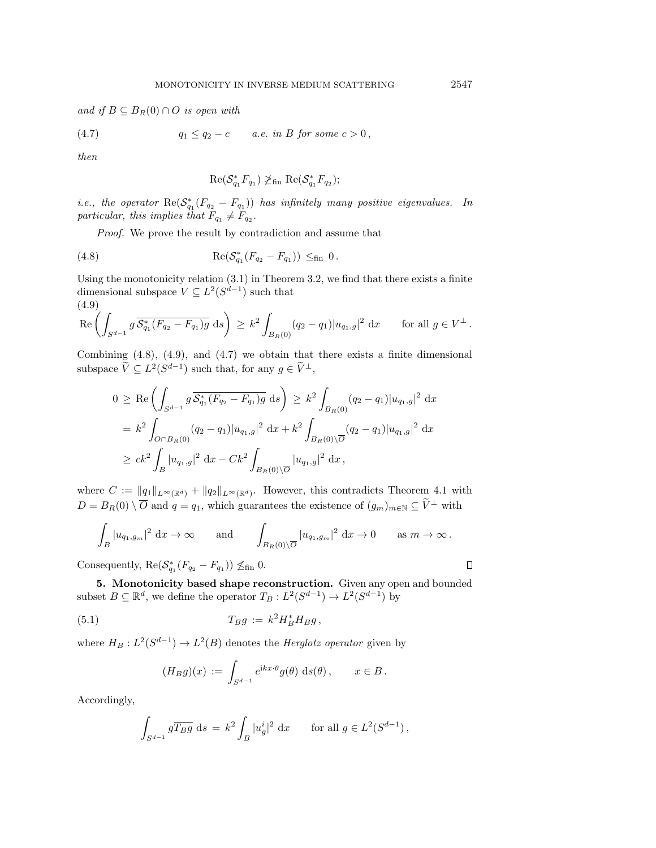and if  $B \subseteq B_R(0) \cap O$  is open with

$$
(4.7) \t\t q_1 \le q_2 - c \t a.e. in B for some  $c > 0$ ,
$$

then

<span id="page-14-3"></span><span id="page-14-1"></span>
$$
\mathrm{Re}(\mathcal{S}_{q_1}^*F_{q_1})\not\geq_{\mathrm{fin}} \mathrm{Re}(\mathcal{S}_{q_1}^*F_{q_2});
$$

*i.e.*, the operator  $\text{Re}(\mathcal{S}_{q_1}^*(F_{q_2} - F_{q_1}))$  has infinitely many positive eigenvalues. In particular, this implies that  $F_{q_1} \neq F_{q_2}$ .

Proof. We prove the result by contradiction and assume that

(4.8) 
$$
\operatorname{Re}(\mathcal{S}_{q_1}^*(F_{q_2}-F_{q_1})) \leq_{\text{fin}} 0.
$$

Using the monotonicity relation [\(3.1\)](#page-4-1) in Theorem [3.2,](#page-4-4) we find that there exists a finite dimensional subspace  $V \subseteq L^2(S^{d-1})$  such that (4.9)

<span id="page-14-2"></span>
$$
\operatorname{Re}\left(\int_{S^{d-1}} g \, \overline{\mathcal{S}_{q_1}^*(F_{q_2} - F_{q_1})g} \, ds\right) \ge k^2 \int_{B_R(0)} (q_2 - q_1) |u_{q_1,g}|^2 \, dx \quad \text{for all } g \in V^{\perp}.
$$

Combining  $(4.8)$ ,  $(4.9)$ , and  $(4.7)$  we obtain that there exists a finite dimensional subspace  $\widetilde V \subseteq L^2(S^{d-1})$  such that, for any  $g \in \widetilde V^{\perp}$ ,

$$
0 \geq \text{Re}\left(\int_{S^{d-1}} g \overline{\mathcal{S}_{q_1}^*(F_{q_2} - F_{q_1})g} ds\right) \geq k^2 \int_{B_R(0)} (q_2 - q_1)|u_{q_1,g}|^2 dx
$$
  
\n
$$
= k^2 \int_{O \cap B_R(0)} (q_2 - q_1)|u_{q_1,g}|^2 dx + k^2 \int_{B_R(0) \setminus \overline{O}} (q_2 - q_1)|u_{q_1,g}|^2 dx
$$
  
\n
$$
\geq ck^2 \int_B |u_{q_1,g}|^2 dx - Ck^2 \int_{B_R(0) \setminus \overline{O}} |u_{q_1,g}|^2 dx,
$$

where  $C := \| q_1\|_{L^\infty(\Bbb R^d)} + \| q_2\|_{L^\infty(\Bbb R^d)}$ . However, this contradicts Theorem [4.1](#page-10-1) with  $D = B_R(0) \setminus \overline{O}$  and  $q = q_1$ , which guarantees the existence of  $(g_m)_{m\in \mathbb N} \subseteq \widetilde{V}^{\perp}$  with

$$
\int_B |u_{q_1,g_m}|^2 \, \mathrm{d}x \to \infty \qquad \text{and} \qquad \int_{B_R(0)\setminus \overline{O}} |u_{q_1,g_m}|^2 \, \mathrm{d}x \to 0 \qquad \text{as } m \to \infty \, .
$$

Consequently,  $\text{Re}(\mathcal{S}_{q_1}^*(F_{q_2} - F_{q_1})) \nleq_{fin} 0.$ 

<span id="page-14-0"></span>5. Monotonicity based shape reconstruction. Given any open and bounded subset  $B \subseteq \mathbb{R}^d$ , we define the operator  $T_B : L^2(S^{d-1}) \to L^2(S^{d-1})$  by

(5.1) 
$$
T_B g := k^2 H_B^* H_B g,
$$

where  $H_B: L^2(S^{d-1}) \rightarrow L^2(B)$  denotes the *Herglotz operator* given by

<span id="page-14-4"></span>
$$
(H_B g)(x) := \int_{S^{d-1}} e^{ikx \cdot \theta} g(\theta) \, ds(\theta), \qquad x \in B.
$$

Accordingly,

$$
\int_{S^{d-1}} g \overline{T_B g} ds = k^2 \int_B |u_g^i|^2 dx \quad \text{for all } g \in L^2(S^{d-1}),
$$

 $\Box$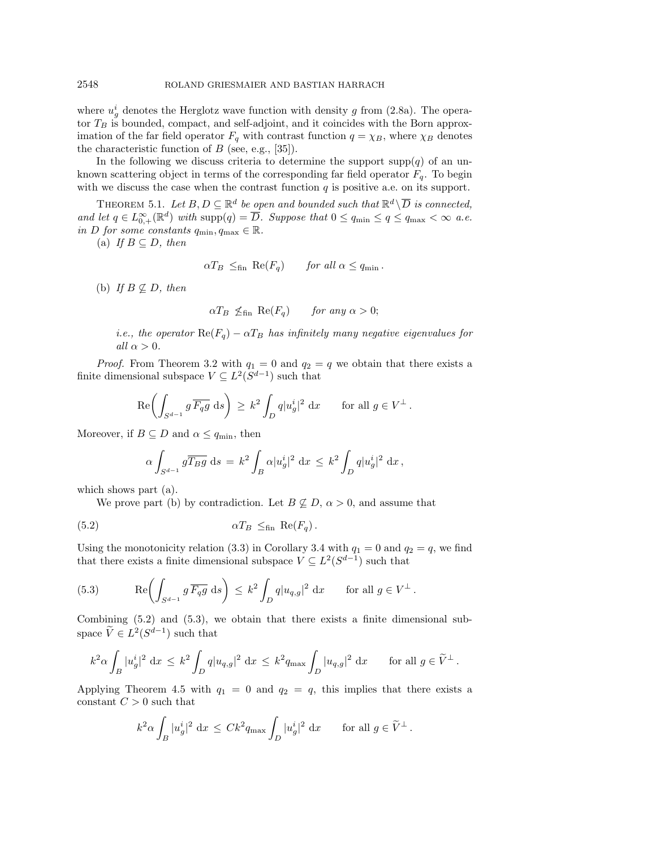where  $u_g^i$  denotes the Herglotz wave function with density g from [\(2.8a\)](#page-3-1). The operator  $T_B$  is bounded, compact, and self-adjoint, and it coincides with the Born approximation of the far field operator  $F_q$  with contrast function  $q = \chi_B$ , where  $\chi_B$  denotes the characteristic function of  $B$  (see, e.g., [\[35\]](#page-23-25)).

In the following we discuss criteria to determine the support  $\text{supp}(q)$  of an unknown scattering object in terms of the corresponding far field operator  $F_q$ . To begin with we discuss the case when the contrast function  $q$  is positive a.e. on its support.

<span id="page-15-2"></span>THEOREM 5.1. Let  $B, D \subseteq \mathbb{R}^d$  be open and bounded such that  $\mathbb{R}^d \setminus \overline{D}$  is connected, and let  $q \in L_{0,+}^{\infty}(\mathbb{R}^d)$  with supp $(q) = \overline{D}$ . Suppose that  $0 \leq q_{\min} \leq q \leq q_{\max} < \infty$  a.e. in D for some constants  $q_{\min}, q_{\max} \in \mathbb{R}$ .

(a) If  $B \subseteq D$ , then

 $\alpha T_B \leq_{\text{fin}} \text{Re}(F_q)$  for all  $\alpha \leq q_{\text{min}}$ .

(b) If  $B \not\subseteq D$ , then

$$
\alpha T_B \nleq_{\text{fin}} \text{Re}(F_q) \qquad \text{for any } \alpha > 0;
$$

i.e., the operator  $\text{Re}(F_q) - \alpha T_B$  has infinitely many negative eigenvalues for all  $\alpha > 0$ .

*Proof.* From Theorem [3.2](#page-4-4) with  $q_1 = 0$  and  $q_2 = q$  we obtain that there exists a finite dimensional subspace  $V \subseteq L^2(S^{d-1})$  such that

$$
\operatorname{Re}\left(\int_{S^{d-1}} g\,\overline{F_qg}\,\mathrm{d}s\right) \,\geq\, k^2 \int_D q|u_g^i|^2\,\mathrm{d}x \qquad \text{for all } g \in V^{\perp} \,.
$$

Moreover, if  $B \subseteq D$  and  $\alpha \leq q_{\min}$ , then

<span id="page-15-0"></span>
$$
\alpha \int_{S^{d-1}} g \overline{T_B g} \, ds = k^2 \int_B \alpha |u_g^i|^2 \, dx \leq k^2 \int_D q |u_g^i|^2 \, dx,
$$

which shows part (a).

We prove part (b) by contradiction. Let  $B \not\subset D, \alpha > 0$ , and assume that

(5.2) 
$$
\alpha T_B \leq_{\text{fin}} \text{Re}(F_q).
$$

Using the monotonicity relation [\(3.3\)](#page-5-4) in Corollary [3.4](#page-5-3) with  $q_1 = 0$  and  $q_2 = q$ , we find that there exists a finite dimensional subspace  $V \subseteq L^2(S^{d-1})$  such that

<span id="page-15-1"></span>(5.3) 
$$
\operatorname{Re} \left( \int_{S^{d-1}} g \, \overline{F_q g} \, ds \right) \leq k^2 \int_D q |u_{q,g}|^2 \, dx \quad \text{for all } g \in V^{\perp}.
$$

Combining [\(5.2\)](#page-15-0) and [\(5.3\)](#page-15-1), we obtain that there exists a finite dimensional subspace  $\widetilde V \in L^2(S^{d-1})$  such that

$$
k^2\alpha \int_B |u_g^i|^2 \,\,\mathrm{d} x \,\leq \, k^2 \int_D q |u_{q,g}|^2 \,\,\mathrm{d} x \,\leq \, k^2 q_{\text{max}} \int_D |u_{q,g}|^2 \,\,\mathrm{d} x \qquad \text{for all } g \in \widetilde{V}^\perp \,.
$$

Applying Theorem [4.5](#page-13-2) with  $q_1 = 0$  and  $q_2 = q$ , this implies that there exists a constant  $C > 0$  such that

$$
k^2 \alpha \int_B |u_g^i|^2 \, \mathrm{d}x \, \le \, C k^2 q_{\text{max}} \int_D |u_g^i|^2 \, \mathrm{d}x \qquad \text{for all } g \in \widetilde{V}^\perp \, .
$$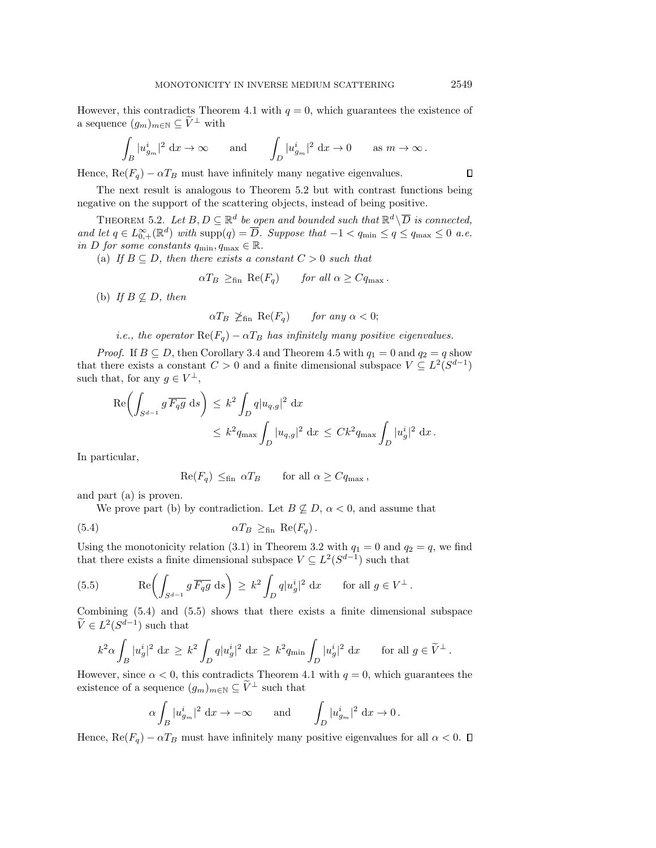However, this contradicts Theorem [4.1](#page-10-1) with  $q = 0$ , which guarantees the existence of a sequence  $(g_m)_{m\in \mathbb N} \subseteq \widetilde{V}^{\perp}$  with

$$
\int_B |u_{g_m}^i|^2 \, \mathrm{d} x \to \infty \quad \text{and} \quad \int_D |u_{g_m}^i|^2 \, \mathrm{d} x \to 0 \quad \text{as } m \to \infty \, .
$$

Hence,  $\text{Re}(F_q) - \alpha T_B$  must have infinitely many negative eigenvalues.

The next result is analogous to Theorem [5.2](#page-16-0) but with contrast functions being negative on the support of the scattering objects, instead of being positive.

<span id="page-16-0"></span>THEOREM 5.2. Let  $B, D \subseteq \mathbb{R}^d$  be open and bounded such that  $\mathbb{R}^d \setminus \overline{D}$  is connected, and let  $q \in L_{0,+}^{\infty}(\mathbb{R}^d)$  with  $\text{supp}(q) = \overline{D}$ . Suppose that  $-1 < q_{\min} \leq q \leq q_{\max} \leq 0$  a.e. in D for some constants  $q_{\min}, q_{\max} \in \mathbb{R}$ .

(a) If  $B \subseteq D$ , then there exists a constant  $C > 0$  such that

 $\alpha T_B \geq_{\text{fin}} \text{Re}(F_q)$  for all  $\alpha \geq Cq_{\text{max}}$ .

(b) If  $B \not\subseteq D$ , then

$$
\alpha T_B \ngeq_{\text{fin}} \text{Re}(F_q) \qquad \text{for any } \alpha < 0;
$$

i.e., the operator  $\text{Re}(F_q) - \alpha T_B$  has infinitely many positive eigenvalues.

*Proof.* If  $B \subseteq D$ , then Corollary [3.4](#page-5-3) and Theorem [4.5](#page-13-2) with  $q_1 = 0$  and  $q_2 = q$  show that there exists a constant  $C > 0$  and a finite dimensional subspace  $V \subseteq L^2(S^{d-1})$ such that, for any  $g \in V^{\perp}$ ,

$$
\operatorname{Re}\left(\int_{S^{d-1}} g \,\overline{F_q g} \, \mathrm{d}s\right) \leq k^2 \int_D q |u_{q,g}|^2 \, \mathrm{d}x
$$
  

$$
\leq k^2 q_{\text{max}} \int_D |u_{q,g}|^2 \, \mathrm{d}x \leq C k^2 q_{\text{max}} \int_D |u_g^i|^2 \, \mathrm{d}x.
$$

In particular,

<span id="page-16-1"></span>
$$
\operatorname{Re}(F_q) \leq_{\text{fin}} \alpha T_B
$$
 for all  $\alpha \geq C q_{\text{max}}$ ,

and part (a) is proven.

We prove part (b) by contradiction. Let  $B \not\subseteq D, \alpha < 0$ , and assume that

(5.4) 
$$
\alpha T_B \geq_{\text{fin}} \text{Re}(F_q).
$$

Using the monotonicity relation [\(3.1\)](#page-4-1) in Theorem [3.2](#page-4-4) with  $q_1 = 0$  and  $q_2 = q$ , we find that there exists a finite dimensional subspace  $V \subseteq L^2(S^{d-1})$  such that

<span id="page-16-2"></span>(5.5) 
$$
\operatorname{Re} \left( \int_{S^{d-1}} g \overline{F_q g} \, ds \right) \geq k^2 \int_D q |u_g^i|^2 \, dx \quad \text{for all } g \in V^{\perp}.
$$

Combining [\(5.4\)](#page-16-1) and [\(5.5\)](#page-16-2) shows that there exists a finite dimensional subspace  $\widetilde V \in L^2(S^{d-1})$  such that

$$
k^2 \alpha \int_B |u_g^i|^2 \, \mathrm{d}x \ge k^2 \int_D q |u_g^i|^2 \, \mathrm{d}x \ge k^2 q_{\min} \int_D |u_g^i|^2 \, \mathrm{d}x \qquad \text{for all } g \in \widetilde{V}^\perp.
$$

However, since  $\alpha < 0$ , this contradicts Theorem [4.1](#page-10-1) with  $q = 0$ , which guarantees the existence of a sequence  $(g_m)_{m\in \mathbb N} \subseteq \widetilde V^\perp$  such that

$$
\alpha \int_B |u_{g_m}^i|^2 \, \mathrm{d}x \to -\infty \quad \text{and} \quad \int_D |u_{g_m}^i|^2 \, \mathrm{d}x \to 0 \, .
$$

Hence,  $\text{Re}(F_q) - \alpha T_B$  must have infinitely many positive eigenvalues for all  $\alpha < 0$ .  $\Box$ 

 $\Box$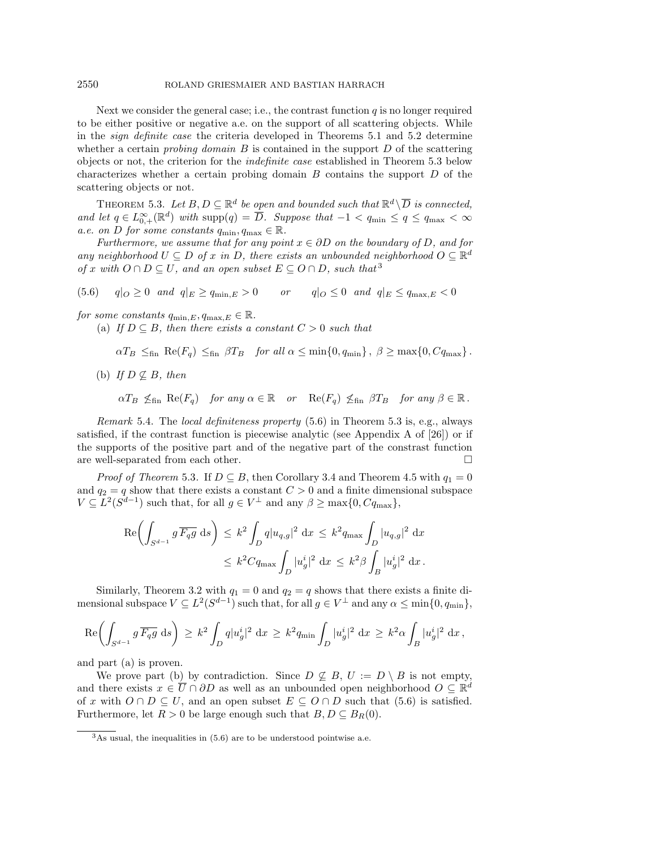#### 2550 ROLAND GRIESMAIER AND BASTIAN HARRACH

Next we consider the general case; i.e., the contrast function  $q$  is no longer required to be either positive or negative a.e. on the support of all scattering objects. While in the sign definite case the criteria developed in Theorems [5.1](#page-15-2) and [5.2](#page-16-0) determine whether a certain *probing domain*  $B$  is contained in the support  $D$  of the scattering objects or not, the criterion for the indefinite case established in Theorem [5.3](#page-17-0) below characterizes whether a certain probing domain  $B$  contains the support  $D$  of the scattering objects or not.

<span id="page-17-0"></span>THEOREM 5.3. Let  $B, D \subseteq \mathbb{R}^d$  be open and bounded such that  $\mathbb{R}^d \setminus \overline{D}$  is connected, and let  $q \in L_{0,+}^{\infty}(\mathbb{R}^d)$  with supp $(q) = \overline{D}$ . Suppose that  $-1 < q_{\min} \leq q \leq q_{\max} < \infty$ a.e. on D for some constants  $q_{\min}, q_{\max} \in \mathbb{R}$ .

Furthermore, we assume that for any point  $x \in \partial D$  on the boundary of D, and for any neighborhood  $U \subseteq D$  of x in D, there exists an unbounded neighborhood  $O \subseteq \mathbb R^d$ of x with  $O \cap D \subseteq U$ , and an open subset  $E \subseteq O \cap D$ , such that <sup>[3](#page-17-1)</sup>

<span id="page-17-2"></span>(5.6)  $q|_O \geq 0$  and  $q|_E \geq q_{\min,E} > 0$  or  $q|_O \leq 0$  and  $q|_E \leq q_{\max,E} < 0$ 

for some constants  $q_{\min,E}, q_{\max,E} \in \mathbb{R}$ .

(a) If  $D \subseteq B$ , then there exists a constant  $C > 0$  such that

 $\alpha T_B \leq_{\text{fin}} \text{Re}(F_q) \leq_{\text{fin}} \beta T_B$  for all  $\alpha \leq \min\{ 0, q_{\min}\}$ ,  $\beta \geq \max\{ 0, Cq_{\max}\}$ .

(b) If  $D \not\subseteq B$ , then

 $\alpha T_B \nleq_{\text{fin}} \text{Re}(F_q)$  for any  $\alpha \in \Bbb R$  or  $\text{Re}(F_q) \nleq_{\text{fin}} \beta T_B$  for any  $\beta \in \Bbb R$ .

*Remark* 5.4. The *local definiteness property*  $(5.6)$  in Theorem [5.3](#page-17-0) is, e.g., always satisfied, if the contrast function is piecewise analytic (see Appendix A of [\[26\]](#page-23-1)) or if the supports of the positive part and of the negative part of the constrast function are well-separated from each other.  $\hfill \square$ 

*Proof of Theorem* [5.3](#page-17-0). If  $D \subseteq B$ , then Corollary [3.4](#page-5-3) and Theorem [4.5](#page-13-2) with  $q_1 = 0$ and  $q_2 = q$  show that there exists a constant  $C > 0$  and a finite dimensional subspace  $V \subseteq L^2(S^{d-1})$  such that, for all  $g \in V^{\perp}$  and any  $\beta \geq \max\{0, Cq_{\max}\},$ 

$$
\operatorname{Re}\left(\int_{S^{d-1}} g\,\overline{F_qg} \,ds\right) \leq k^2 \int_D q|u_{q,g}|^2 \,dx \leq k^2 q_{\text{max}} \int_D |u_{q,g}|^2 \,dx
$$
  

$$
\leq k^2 C q_{\text{max}} \int_D |u_g^i|^2 \,dx \leq k^2 \beta \int_B |u_g^i|^2 \,dx.
$$

Similarly, Theorem [3.2](#page-4-4) with  $q_1 = 0$  and  $q_2 = q$  shows that there exists a finite dimensional subspace  $V \subseteq L^2(S^{d-1})$  such that, for all  $g \in V^{\perp}$  and any  $\alpha \leq \min\{ 0, q_{\min}\},$ 

$$
\mathrm{Re}\biggl(\int_{S^{d-1}}g\,\overline{F_qg}\;\mathrm{d}s\biggr)\,\geq\,k^2\int_Dq|u_g^i|^2\;\mathrm{d}x\,\geq\,k^2q_{\text{min}}\int_D|u_g^i|^2\;\mathrm{d}x\,\geq\,k^2\alpha\int_B|u_g^i|^2\;\mathrm{d}x\,,
$$

and part (a) is proven.

We prove part (b) by contradiction. Since  $D \not\subseteq B, U := D \setminus B$  is not empty, and there exists  $x \in \overline{U} \cap \partial D$  as well as an unbounded open neighborhood  $O \subseteq \mathbb R^d$ of x with  $O \cap D \subseteq U$ , and an open subset  $E \subseteq O \cap D$  such that [\(5.6\)](#page-17-2) is satisfied. Furthermore, let  $R > 0$  be large enough such that  $B, D \subseteq B_R(0)$ .

<span id="page-17-1"></span> $3$ As usual, the inequalities in  $(5.6)$  are to be understood pointwise a.e.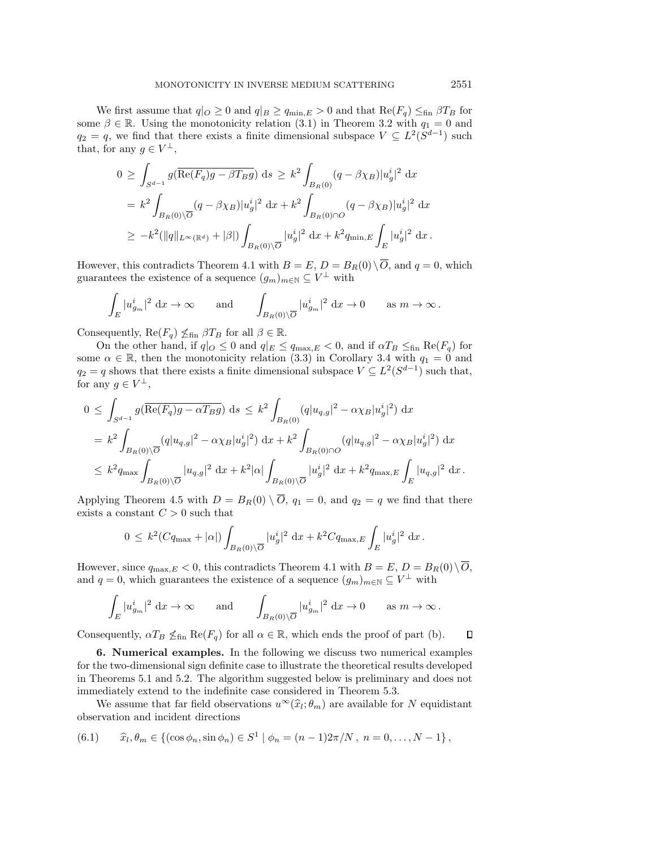We first assume that  $q|_O \geq 0$  and  $q|_B \geq q_{\min,E} > 0$  and that  $\text{Re}(F_q) \leq_{\text{fin}} \beta T_B$  for some  $\beta \in \mathbb{R}$ . Using the monotonicity relation [\(3.1\)](#page-4-1) in Theorem [3.2](#page-4-4) with  $q_1 = 0$  and  $q_2 = q$ , we find that there exists a finite dimensional subspace  $V \subseteq L^2(S^{d-1})$  such that, for any  $g \in V^{\perp}$ ,

$$
0 \geq \int_{S^{d-1}} g(\overline{\text{Re}(F_q)g - \beta T_B g}) ds \geq k^2 \int_{B_R(0)} (q - \beta \chi_B) |u_g^i|^2 dx
$$
  
=  $k^2 \int_{B_R(0) \setminus \overline{O}} (q - \beta \chi_B) |u_g^i|^2 dx + k^2 \int_{B_R(0) \cap \overline{O}} (q - \beta \chi_B) |u_g^i|^2 dx$   
 $\geq -k^2 (||q||_{L^{\infty}(\mathbb{R}^d)} + |\beta|) \int_{B_R(0) \setminus \overline{O}} |u_g^i|^2 dx + k^2 q_{\min, E} \int_E |u_g^i|^2 dx.$ 

However, this contradicts Theorem [4.1](#page-10-1) with  $B = E$ ,  $D = B_R(0) \setminus \overline{O}$ , and  $q = 0$ , which guarantees the existence of a sequence  $(g_m)_{m\in \mathbb N} \subseteq V^{\perp}$  with

$$
\int_E |u_{g_m}^i|^2 \, \mathrm{d}x \to \infty \qquad \text{and} \qquad \int_{B_R(0)\setminus \overline{O}} |u_{g_m}^i|^2 \, \mathrm{d}x \to 0 \qquad \text{as } m \to \infty \, .
$$

Consequently,  $\text{Re}(F_q) \nleq_{\text{fin}} \beta T_B$  for all  $\beta \in \mathbb{R}$ .

On the other hand, if  $q|_O \leq 0$  and  $q|_E \leq q_{\text{max},E} < 0$ , and if  $\alpha T_B \leq_{\text{fin}} \text{Re}(F_q)$  for some  $\alpha \in \mathbb{R}$ , then the monotonicity relation [\(3.3\)](#page-5-4) in Corollary [3.4](#page-5-3) with  $q_1 = 0$  and  $q_2 = q$  shows that there exists a finite dimensional subspace  $V \subseteq L^2(S^{d-1})$  such that, for any  $g \in V^{\perp}$ ,

$$
0 \leq \int_{S^{d-1}} g(\overline{\text{Re}(F_q)g - \alpha T_B g}) ds \leq k^2 \int_{B_R(0)} (q|u_{q,g}|^2 - \alpha \chi_B |u_g^i|^2) dx
$$
  
\n
$$
= k^2 \int_{B_R(0) \backslash \overline{O}} (q|u_{q,g}|^2 - \alpha \chi_B |u_g^i|^2) dx + k^2 \int_{B_R(0) \cap O} (q|u_{q,g}|^2 - \alpha \chi_B |u_g^i|^2) dx
$$
  
\n
$$
\leq k^2 q_{\text{max}} \int_{B_R(0) \backslash \overline{O}} |u_{q,g}|^2 dx + k^2 |\alpha| \int_{B_R(0) \backslash \overline{O}} |u_g^i|^2 dx + k^2 q_{\text{max},E} \int_E |u_{q,g}|^2 dx.
$$

Applying Theorem [4.5](#page-13-2) with  $D = B_R(0) \setminus \overline{O}$ ,  $q_1 = 0$ , and  $q_2 = q$  we find that there exists a constant  $C > 0$  such that

$$
0 \leq k^2 (Cq_{\max} + |\alpha|) \int_{B_R(0) \setminus \overline{O}} |u_g^i|^2 \, \mathrm{d}x + k^2 Cq_{\max,E} \int_E |u_g^i|^2 \, \mathrm{d}x.
$$

However, since  $q_{\text{max},E} < 0$ , this contradicts Theorem [4.1](#page-10-1) with  $B = E, D = B_R(0) \setminus \overline{O}$ , and  $q = 0$ , which guarantees the existence of a sequence  $(g_m)_{m \in \mathbb{N}} \subseteq V^{\perp}$  with

$$
\int_E |u_{g_m}^i|^2 \, \mathrm{d}x \to \infty \qquad \text{and} \qquad \int_{B_R(0)\setminus \overline{O}} |u_{g_m}^i|^2 \, \mathrm{d}x \to 0 \qquad \text{as } m \to \infty \, .
$$

Consequently,  $\alpha T_B \nleq_{fin} \text{Re}(F_q)$  for all  $\alpha \in \Bbb R$ , which ends the proof of part (b).  $\Box$ 

<span id="page-18-0"></span>6. Numerical examples. In the following we discuss two numerical examples for the two-dimensional sign definite case to illustrate the theoretical results developed in Theorems [5.1](#page-15-2) and [5.2.](#page-16-0) The algorithm suggested below is preliminary and does not immediately extend to the indefinite case considered in Theorem [5.3.](#page-17-0)

We assume that far field observations  $u^\infty (\hat{x}_l; \theta_m)$  are available for N equidistant existence observation and incident directions

<span id="page-18-1"></span>(6.1) 
$$
\hat{x}_l, \theta_m \in \{ (\cos \phi_n, \sin \phi_n) \in S^1 | \phi_n = (n-1)2\pi/N, n = 0, ..., N-1 \},\
$$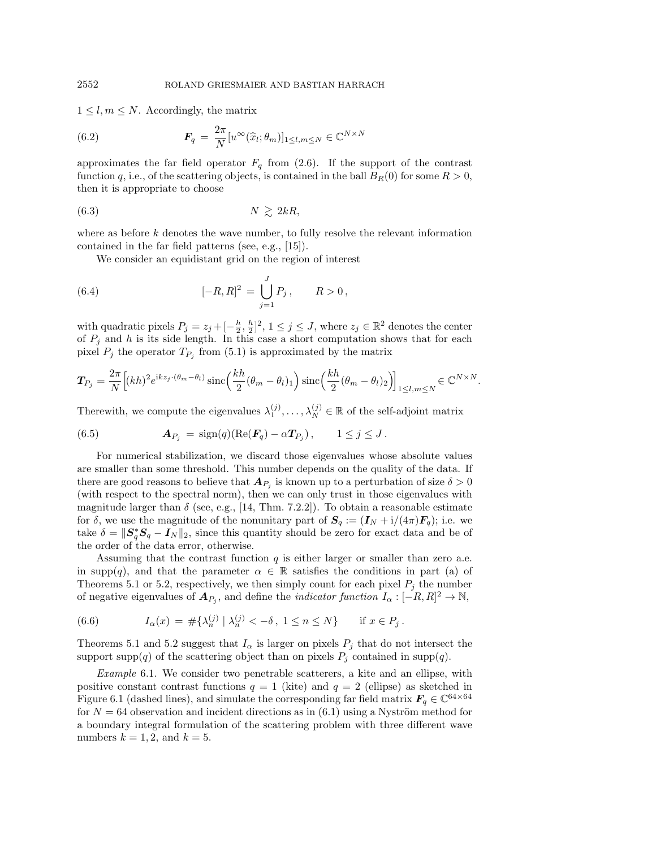$1 \leq l, m \leq N$ . Accordingly, the matrix

<span id="page-19-3"></span>(6.2) 
$$
\boldsymbol{F}_q = \frac{2\pi}{N} [u^{\infty}(\widehat{x}_l; \theta_m)]_{1 \leq l, m \leq N} \in \mathbb{C}^{N \times N}
$$

approximates the far field operator  $F_q$  from [\(2.6\)](#page-3-7). If the support of the contrast function q, i.e., of the scattering objects, is contained in the ball  $B_R(0)$  for some  $R > 0$ , then it is appropriate to choose

$$
(6.3) \t\t\t N \geq 2kR,
$$

where as before  $k$  denotes the wave number, to fully resolve the relevant information contained in the far field patterns (see, e.g., [\[15\]](#page-23-26)).

<span id="page-19-4"></span><span id="page-19-2"></span>We consider an equidistant grid on the region of interest

(6.4) 
$$
[-R, R]^2 = \bigcup_{j=1}^J P_j, \qquad R > 0,
$$

with quadratic pixels  $P_j = z_j + [-\frac{h}{2}, \frac{h}{2}]^2$ ,  $1 \leq j \leq J$ , where  $z_j \in \mathbb{R}^2$  denotes the center of  $P_j$  and h is its side length. In this case a short computation shows that for each pixel  $P_j$  the operator  $T_{P_j}$  from [\(5.1\)](#page-14-4) is approximated by the matrix

$$
\boldsymbol{T}_{P_j} = \frac{2\pi}{N} \Big[ (kh)^2 e^{ikz_j \cdot (\theta_m - \theta_l)} \operatorname{sinc} \Big( \frac{kh}{2} (\theta_m - \theta_l)_1 \Big) \operatorname{sinc} \Big( \frac{kh}{2} (\theta_m - \theta_l)_2 \Big) \Big]_{1 \le l,m \le N} \in \mathbb{C}^{N \times N}.
$$

Therewith, we compute the eigenvalues  $\lambda_1^{(j)}, \ldots, \lambda_N^{(j)} \in \mathbb{R}$  of the self-adjoint matrix

<span id="page-19-1"></span>(6.5) 
$$
\mathbf{A}_{P_j} = \text{sign}(q)(\text{Re}(\mathbf{F}_q) - \alpha \mathbf{T}_{P_j}), \qquad 1 \leq j \leq J.
$$

For numerical stabilization, we discard those eigenvalues whose absolute values are smaller than some threshold. This number depends on the quality of the data. If there are good reasons to believe that  $\boldsymbol{A}_{P_j}$  is known up to a perturbation of size  $\delta > 0$ (with respect to the spectral norm), then we can only trust in those eigenvalues with magnitude larger than  $\delta$  (see, e.g., [\[14,](#page-23-27) Thm. 7.2.2]). To obtain a reasonable estimate for  $\delta$ , we use the magnitude of the nonunitary part of  $\bf{S}_q := (\bf{I}_N + i/(4\pi) \bf{F}_q);$  i.e. we take  $\delta = \| \mathbf{S}_q^* \mathbf{S}_q - \mathbf{I}_N \|_2$ , since this quantity should be zero for exact data and be of the order of the data error, otherwise.

Assuming that the contrast function  $q$  is either larger or smaller than zero a.e. in supp(q), and that the parameter  $\alpha \in \mathbb{R}$  satisfies the conditions in part (a) of Theorems [5.1](#page-15-2) or [5.2,](#page-16-0) respectively, we then simply count for each pixel  $P_i$  the number of negative eigenvalues of  $\bm{A}_{P_j}$ , and define the *indicator function*  $I_\alpha : [-R, R]^2 \rightarrow \mathbb{N}$ ,

<span id="page-19-0"></span>(6.6) 
$$
I_{\alpha}(x) = \# \{ \lambda_n^{(j)} \mid \lambda_n^{(j)} < -\delta \}, \ 1 \le n \le N \} \quad \text{if } x \in P_j \, .
$$

Theorems [5.1](#page-15-2) and [5.2](#page-16-0) suggest that  $I_\alpha$  is larger on pixels  $P_j$  that do not intersect the support supp(q) of the scattering object than on pixels  $P_j$  contained in supp(q).

<span id="page-19-5"></span>Example 6.1. We consider two penetrable scatterers, a kite and an ellipse, with positive constant contrast functions  $q = 1$  (kite) and  $q = 2$  (ellipse) as sketched in Figure [6.1](#page-20-0) (dashed lines), and simulate the corresponding far field matrix  $\bm{F}_q \in \Bbb C^{64\times 64}$ for  $N = 64$  observation and incident directions as in [\(6.1\)](#page-18-1) using a Nyström method for a boundary integral formulation of the scattering problem with three different wave numbers  $k = 1, 2$ , and  $k = 5$ .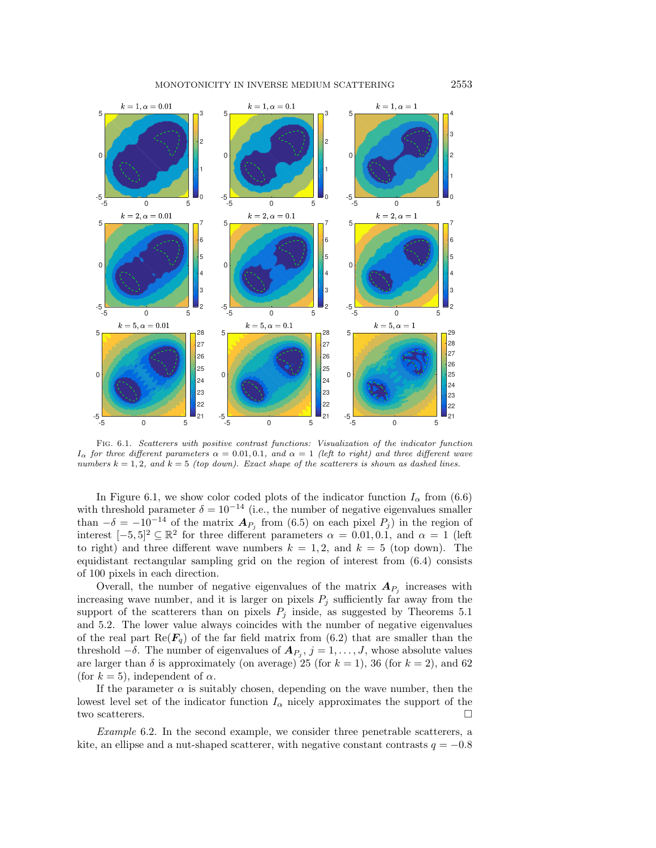<span id="page-20-0"></span>

Fig. 6.1. Scatterers with positive contrast functions: Visualization of the indicator function  $I_\alpha$  for three different parameters  $\alpha = 0.01, 0.1$ , and  $\alpha = 1$  (left to right) and three different wave numbers  $k = 1, 2$ , and  $k = 5$  (top down). Exact shape of the scatterers is shown as dashed lines.

In Figure [6.1,](#page-20-0) we show color coded plots of the indicator function  $I_\alpha$  from [\(6.6\)](#page-19-0) with threshold parameter  $\delta = 10^{-14}$  (i.e., the number of negative eigenvalues smaller than  $-\delta = - 10^{-14}$  of the matrix  $\bf{A}_{P_j}$  from [\(6.5\)](#page-19-1) on each pixel  $P_j$ ) in the region of interest  $[-5, 5]^2 \subseteq \mathbb{R}^2$  for three different parameters  $\alpha = 0.01, 0.1$ , and  $\alpha = 1$  (left to right) and three different wave numbers  $k = 1, 2$ , and  $k = 5$  (top down). The equidistant rectangular sampling grid on the region of interest from [\(6.4\)](#page-19-2) consists of 100 pixels in each direction.

Overall, the number of negative eigenvalues of the matrix  $\bm{A}_{P_j}$  increases with increasing wave number, and it is larger on pixels  $P_j$  sufficiently far away from the support of the scatterers than on pixels  $P_j$  inside, as suggested by Theorems [5.1](#page-15-2) and [5.2.](#page-16-0) The lower value always coincides with the number of negative eigenvalues of the real part  $\text{Re}(\bm{F}_q)$  of the far field matrix from [\(6.2\)](#page-19-3) that are smaller than the threshold  $-\delta$ . The number of eigenvalues of  $\boldsymbol{A}_{P_j}, j = 1, \ldots, J$ , whose absolute values are larger than  $\delta$  is approximately (on average) 25 (for  $k = 1$ ), 36 (for  $k = 2$ ), and 62 (for  $k = 5$ ), independent of  $\alpha$ .

If the parameter  $\alpha$  is suitably chosen, depending on the wave number, then the lowest level set of the indicator function  $I_\alpha$  nicely approximates the support of the two scatterers.  $\Box$ 

<span id="page-20-1"></span>Example 6.2. In the second example, we consider three penetrable scatterers, a kite, an ellipse and a nut-shaped scatterer, with negative constant contrasts  $q = -0.8$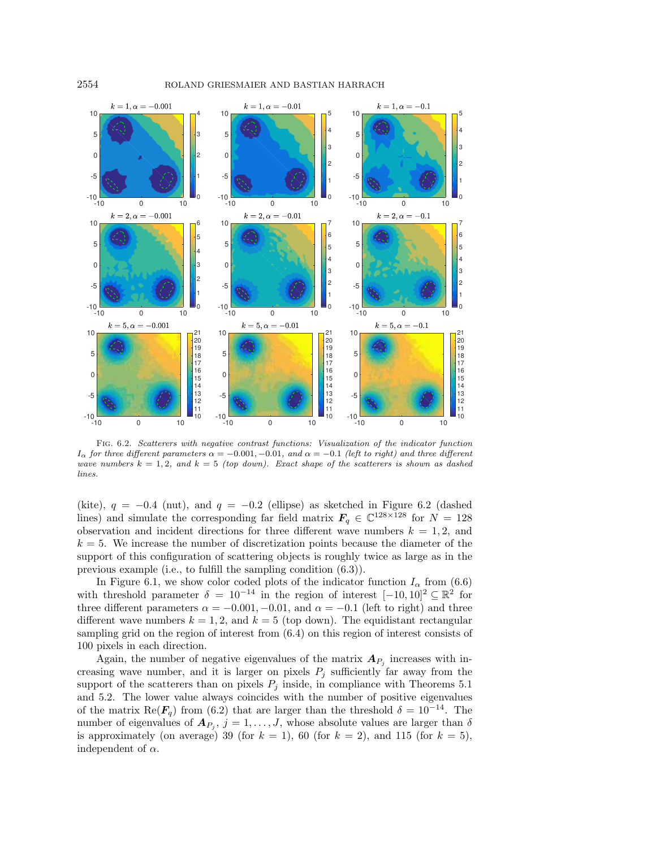<span id="page-21-0"></span>

Fig. 6.2. Scatterers with negative contrast functions: Visualization of the indicator function  $I_\alpha$  for three different parameters  $\alpha = -0.001, -0.01$ , and  $\alpha = -0.1$  (left to right) and three different wave numbers  $k = 1, 2$ , and  $k = 5$  (top down). Exact shape of the scatterers is shown as dashed lines.

(kite),  $q = -0.4$  (nut), and  $q = -0.2$  (ellipse) as sketched in Figure [6.2](#page-21-0) (dashed lines) and simulate the corresponding far field matrix  $\bm{F}_q \in \mathbb{C}^{128\times 128}$  for  $N = 128$ observation and incident directions for three different wave numbers  $k = 1, 2$ , and  $k = 5$ . We increase the number of discretization points because the diameter of the support of this configuration of scattering objects is roughly twice as large as in the previous example (i.e., to fulfill the sampling condition [\(6.3\)](#page-19-4)).

In Figure [6.1,](#page-20-0) we show color coded plots of the indicator function  $I_\alpha$  from [\(6.6\)](#page-19-0) with threshold parameter  $\delta = 10^{-14}$  in the region of interest  $[-10, 10]^2 \subseteq \mathbb{R}^2$  for three different parameters  $\alpha = -0.001, -0.01$ , and  $\alpha = -0.1$  (left to right) and three different wave numbers  $k = 1, 2$ , and  $k = 5$  (top down). The equidistant rectangular sampling grid on the region of interest from [\(6.4\)](#page-19-2) on this region of interest consists of 100 pixels in each direction.

Again, the number of negative eigenvalues of the matrix  $\boldsymbol{A}_{P_j}$  increases with increasing wave number, and it is larger on pixels  $P_j$  sufficiently far away from the support of the scatterers than on pixels  $P_j$  inside, in compliance with Theorems [5.1](#page-15-2) and [5.2.](#page-16-0) The lower value always coincides with the number of positive eigenvalues of the matrix Re( $\mathbf{F}_q$ ) from [\(6.2\)](#page-19-3) that are larger than the threshold  $\delta = 10^{-14}$ . The number of eigenvalues of  $\boldsymbol{A}_{P_j}, j = 1, \ldots, J$ , whose absolute values are larger than  $\delta$ is approximately (on average) 39 (for  $k = 1$ ), 60 (for  $k = 2$ ), and 115 (for  $k = 5$ ), independent of  $\alpha$ .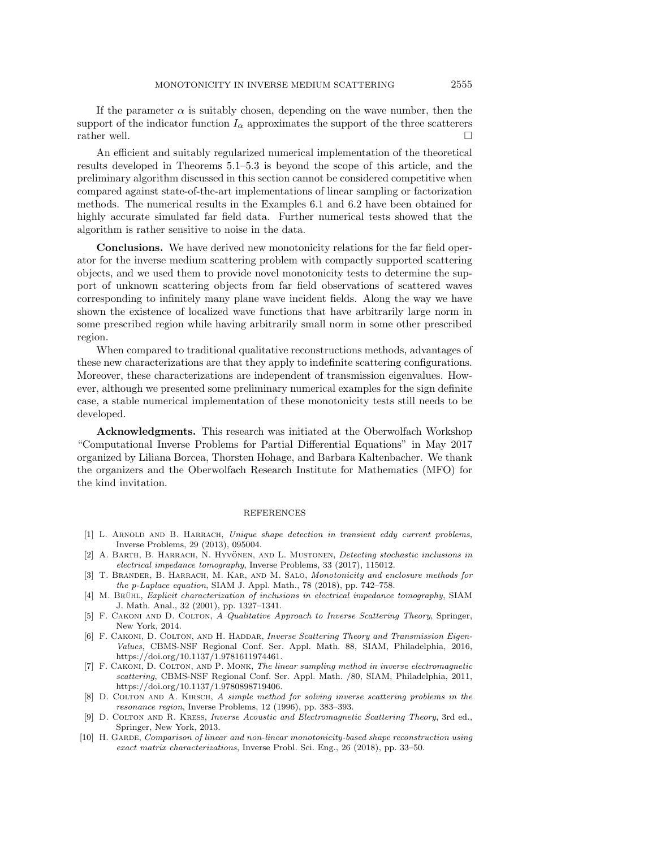If the parameter  $\alpha$  is suitably chosen, depending on the wave number, then the support of the indicator function  $I_\alpha$  approximates the support of the three scatterers rather well.  $\Box$ 

An efficient and suitably regularized numerical implementation of the theoretical results developed in Theorems  $5.1-5.3$  is beyond the scope of this article, and the preliminary algorithm discussed in this section cannot be considered competitive when compared against state-of-the-art implementations of linear sampling or factorization methods. The numerical results in the Examples [6.1](#page-19-5) and [6.2](#page-20-1) have been obtained for highly accurate simulated far field data. Further numerical tests showed that the algorithm is rather sensitive to noise in the data.

Conclusions. We have derived new monotonicity relations for the far field operator for the inverse medium scattering problem with compactly supported scattering objects, and we used them to provide novel monotonicity tests to determine the support of unknown scattering objects from far field observations of scattered waves corresponding to infinitely many plane wave incident fields. Along the way we have shown the existence of localized wave functions that have arbitrarily large norm in some prescribed region while having arbitrarily small norm in some other prescribed region.

When compared to traditional qualitative reconstructions methods, advantages of these new characterizations are that they apply to indefinite scattering configurations. Moreover, these characterizations are independent of transmission eigenvalues. However, although we presented some preliminary numerical examples for the sign definite case, a stable numerical implementation of these monotonicity tests still needs to be developed.

Acknowledgments. This research was initiated at the Oberwolfach Workshop ``Computational Inverse Problems for Partial Differential Equations"" in May 2017 organized by Liliana Borcea, Thorsten Hohage, and Barbara Kaltenbacher. We thank the organizers and the Oberwolfach Research Institute for Mathematics (MFO) for the kind invitation.

## **REFERENCES**

- <span id="page-22-9"></span>[1] L. ARNOLD AND B. HARRACH, Unique shape detection in transient eddy current problems, Inverse Problems, 29 (2013), 095004.
- <span id="page-22-6"></span>[2] A. BARTH, B. HARRACH, N. HYVÖNEN, AND L. MUSTONEN, *Detecting stochastic inclusions in* electrical impedance tomography, Inverse Problems, 33 (2017), 115012.
- <span id="page-22-7"></span>[3] T. Brander, B. Harrach, M. Kar, and M. Salo, Monotonicity and enclosure methods for the p-Laplace equation, SIAM J. Appl. Math., 78 (2018), pp.  $742-758$ .
- <span id="page-22-3"></span>[4] M. BRUHL, Explicit characterization of inclusions in electrical impedance tomography, SIAM J. Math. Anal., 32 (2001), pp.  $1327-1341$ .
- <span id="page-22-0"></span>[5] F. CAKONI AND D. COLTON, A Qualitative Approach to Inverse Scattering Theory, Springer, New York, 2014.
- <span id="page-22-5"></span>[6] F. CAKONI, D. COLTON, AND H. HADDAR, Inverse Scattering Theory and Transmission Eigen-Values, CBMS-NSF Regional Conf. Ser. Appl. Math. 88, SIAM, Philadelphia, 2016, [https://doi.org/10.1137/1.9781611974461.](https://doi.org/10.1137/1.9781611974461)
- <span id="page-22-1"></span>[7] F. Cakoni, D. Colton, and P. Monk, The linear sampling method in inverse electromagnetic scattering, CBMS-NSF Regional Conf. Ser. Appl. Math. /80, SIAM, Philadelphia, 2011, [https://doi.org/10.1137/1.9780898719406.](https://doi.org/10.1137/1.9780898719406)
- <span id="page-22-4"></span>[8] D. COLTON AND A. KIRSCH, A simple method for solving inverse scattering problems in the resonance region, Inverse Problems, 12 (1996), pp. 383-393.
- <span id="page-22-2"></span>[9] D. COLTON AND R. KRESS, *Inverse Acoustic and Electromagnetic Scattering Theory*, 3rd ed., Springer, New York, 2013.
- <span id="page-22-8"></span>[10] H. GARDE, Comparison of linear and non-linear monotonicity-based shape reconstruction using exact matrix characterizations, Inverse Probl. Sci. Eng., 26 (2018), pp. 33-50.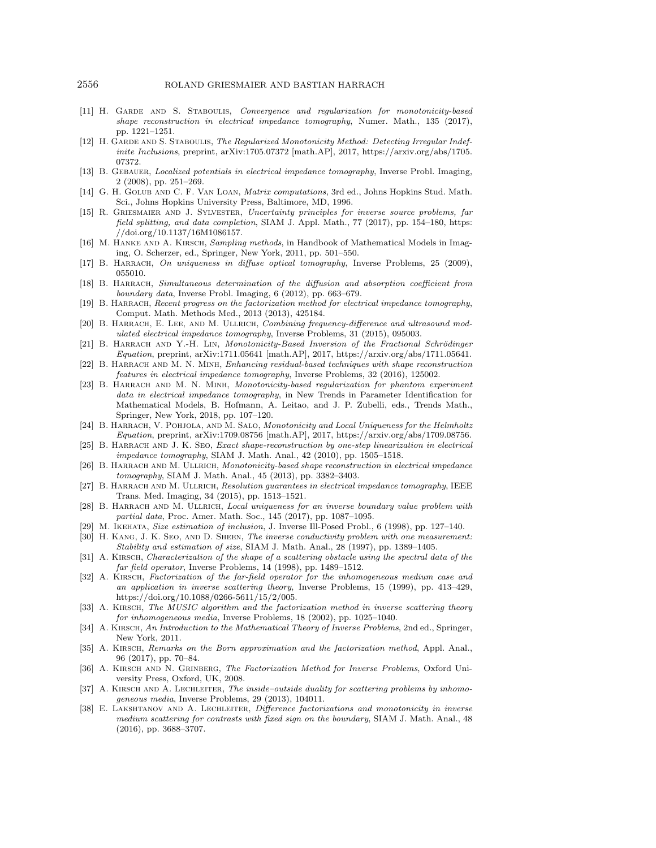- <span id="page-23-13"></span>[11] H. GARDE AND S. STABOULIS, Convergence and regularization for monotonicity-based shape reconstruction in electrical impedance tomography, Numer. Math., 135 (2017), pp. 1221-1251.
- <span id="page-23-14"></span>[12] H. GARDE AND S. STABOULIS, The Regularized Monotonicity Method: Detecting Irregular Indefinite Inclusions, preprint, [arXiv:1705.07372](https://arxiv.org/abs/1705.07372) [math.AP], 2017, [https://arxiv.org/abs/1705.](https://arxiv.org/abs/1705.07372) [07372.](https://arxiv.org/abs/1705.07372)
- <span id="page-23-2"></span>[13] B. GEBAUER, *Localized potentials in electrical impedance tomography*, Inverse Probl. Imaging,  $2(2008)$ , pp. 251-269.
- <span id="page-23-27"></span>[14] G. H. GOLUB AND C. F. VAN LOAN, *Matrix computations*, 3rd ed., Johns Hopkins Stud. Math. Sci., Johns Hopkins University Press, Baltimore, MD, 1996.
- <span id="page-23-26"></span>[15] R. Griesmaier and J. Sylvester, Uncertainty principles for inverse source problems, far field splitting, and data completion, SIAM J. Appl. Math., 77 (2017), pp. 154-180, [https:](https://doi.org/10.1137/16M1086157) [//doi.org/10.1137/16M1086157.](https://doi.org/10.1137/16M1086157)
- <span id="page-23-9"></span>[16] M. HANKE AND A. KIRSCH, Sampling methods, in Handbook of Mathematical Models in Imaging, O. Scherzer, ed., Springer, New York, 2011, pp. 501--550.
- <span id="page-23-20"></span>[17] B. HARRACH, On uniqueness in diffuse optical tomography, Inverse Problems, 25 (2009), 055010.
- <span id="page-23-21"></span>[18] B. HARRACH, Simultaneous determination of the diffusion and absorption coefficient from  $boundary\ data, Inverse\ Prob$ . Imaging, 6 (2012), pp. 663-679.
- <span id="page-23-10"></span>[19] B. HARRACH, Recent progress on the factorization method for electrical impedance tomography, Comput. Math. Methods Med., 2013 (2013), 425184.
- <span id="page-23-15"></span>[20] B. HARRACH, E. LEE, AND M. ULLRICH, Combining frequency-difference and ultrasound modulated electrical impedance tomography, Inverse Problems, 31 (2015), 095003.
- <span id="page-23-16"></span>[21] B. HARRACH AND Y.-H. LIN, Monotonicity-Based Inversion of the Fractional Schrödinger Equation, preprint, [arXiv:1711.05641](https://arxiv.org/abs/1711.05641) [math.AP], 2017, [https://arxiv.org/abs/1711.05641.](https://arxiv.org/abs/1711.05641)
- <span id="page-23-17"></span>[22] B. HARRACH AND M. N. MINH, Enhancing residual-based techniques with shape reconstruction features in electrical impedance tomography, Inverse Problems, 32 (2016), 125002.
- <span id="page-23-18"></span>[23] B. HARRACH AND M. N. MINH, Monotonicity-based regularization for phantom experiment data in electrical impedance tomography, in New Trends in Parameter Identification for Mathematical Models, B. Hofmann, A. Leitao, and J. P. Zubelli, eds., Trends Math., Springer, New York, 2018, pp. 107-120.
- <span id="page-23-5"></span>[24] B. HARRACH, V. POHJOLA, AND M. SALO, Monotonicity and Local Uniqueness for the Helmholtz Equation, preprint, [arXiv:1709.08756](https://arxiv.org/abs/1709.08756) [math.AP], 2017, [https://arxiv.org/abs/1709.08756.](https://arxiv.org/abs/1709.08756)
- <span id="page-23-22"></span>[25] B. HARRACH AND J. K. SEO, Exact shape-reconstruction by one-step linearization in electrical impedance tomography, SIAM J. Math. Anal., 42 (2010), pp. 1505-1518.
- <span id="page-23-1"></span>[26] B. HARRACH AND M. ULLRICH, Monotonicity-based shape reconstruction in electrical impedance tomography, SIAM J. Math. Anal., 45 (2013), pp. 3382-3403.
- <span id="page-23-19"></span>[27] B. HARRACH AND M. ULLRICH, Resolution guarantees in electrical impedance tomography, IEEE Trans. Med. Imaging, 34 (2015), pp. 1513--1521.
- <span id="page-23-23"></span>[28] B. HARRACH AND M. ULLRICH, Local uniqueness for an inverse boundary value problem with partial data, Proc. Amer. Math. Soc., 145 (2017), pp. 1087-1095.
- <span id="page-23-3"></span>[29] M. IKEHATA, Size estimation of inclusion, J. Inverse Ill-Posed Probl., 6 (1998), pp. 127–140.
- <span id="page-23-4"></span>[30] H. KANG, J. K. SEO, AND D. SHEEN, The inverse conductivity problem with one measurement: Stability and estimation of size, SIAM J. Math. Anal., 28 (1997), pp. 1389-1405.
- <span id="page-23-6"></span>[31] A. KIRSCH, Characterization of the shape of a scattering obstacle using the spectral data of the  $far$  field operator, Inverse Problems, 14 (1998), pp. 1489–1512.
- <span id="page-23-7"></span>[32] A. KIRSCH, Factorization of the far-field operator for the inhomogeneous medium case and an application in inverse scattering theory, Inverse Problems, 15 (1999), pp. 413--429, [https://doi.org/10.1088/0266-5611/15/2/005.](https://doi.org/10.1088/0266-5611/15/2/005)
- <span id="page-23-8"></span>[33] A. KIRSCH, The MUSIC algorithm and the factorization method in inverse scattering theory for inhomogeneous media, Inverse Problems, 18 (2002), pp. 1025-1040.
- <span id="page-23-24"></span>[34] A. KIRSCH, An Introduction to the Mathematical Theory of Inverse Problems, 2nd ed., Springer, New York, 2011.
- <span id="page-23-25"></span>[35] A. KIRSCH, Remarks on the Born approximation and the factorization method, Appl. Anal., 96 (2017), pp. 70-84.
- <span id="page-23-0"></span>[36] A. Kirsch and N. Grinberg, The Factorization Method for Inverse Problems, Oxford University Press, Oxford, UK, 2008.
- <span id="page-23-11"></span>[37] A. KIRSCH AND A. LECHLEITER, The inside-outside duality for scattering problems by inhomogeneous media, Inverse Problems, 29 (2013), 104011.
- <span id="page-23-12"></span>[38] E. LAKSHTANOV AND A. LECHLEITER, Difference factorizations and monotonicity in inverse medium scattering for contrasts with fixed sign on the boundary, SIAM J. Math. Anal., 48  $(2016)$ , pp. 3688-3707.